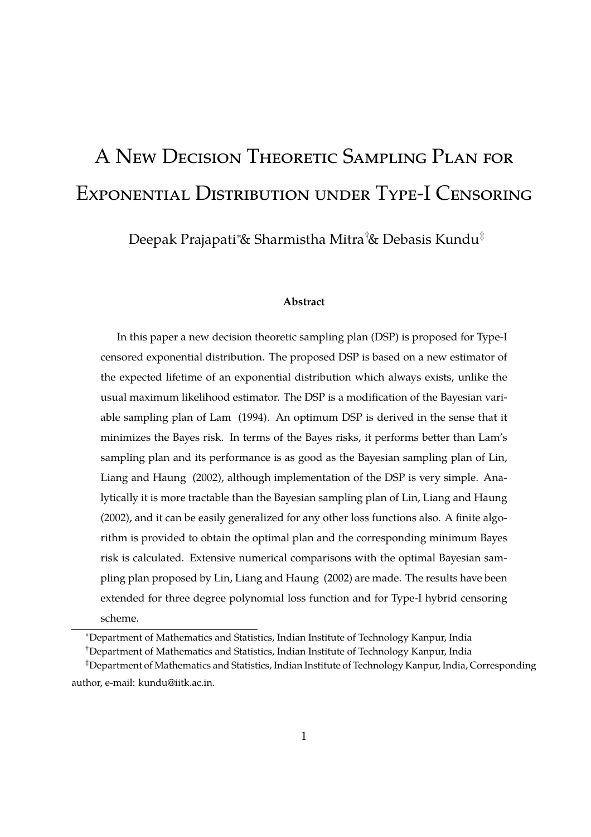# A New Decision Theoretic Sampling Plan for Exponential Distribution under Type-I Censoring

Deepak Prajapati∗& Sharmistha Mitra†& Debasis Kundu‡

#### **Abstract**

In this paper a new decision theoretic sampling plan (DSP) is proposed for Type-I censored exponential distribution. The proposed DSP is based on a new estimator of the expected lifetime of an exponential distribution which always exists, unlike the usual maximum likelihood estimator. The DSP is a modification of the Bayesian variable sampling plan of Lam (1994). An optimum DSP is derived in the sense that it minimizes the Bayes risk. In terms of the Bayes risks, it performs better than Lam's sampling plan and its performance is as good as the Bayesian sampling plan of Lin, Liang and Haung (2002), although implementation of the DSP is very simple. Analytically it is more tractable than the Bayesian sampling plan of Lin, Liang and Haung (2002), and it can be easily generalized for any other loss functions also. A finite algorithm is provided to obtain the optimal plan and the corresponding minimum Bayes risk is calculated. Extensive numerical comparisons with the optimal Bayesian sampling plan proposed by Lin, Liang and Haung (2002) are made. The results have been extended for three degree polynomial loss function and for Type-I hybrid censoring scheme.

<sup>∗</sup>Department of Mathematics and Statistics, Indian Institute of Technology Kanpur, India

<sup>†</sup>Department of Mathematics and Statistics, Indian Institute of Technology Kanpur, India

<sup>‡</sup>Department of Mathematics and Statistics, Indian Institute of Technology Kanpur, India, Corresponding author, e-mail: kundu@iitk.ac.in.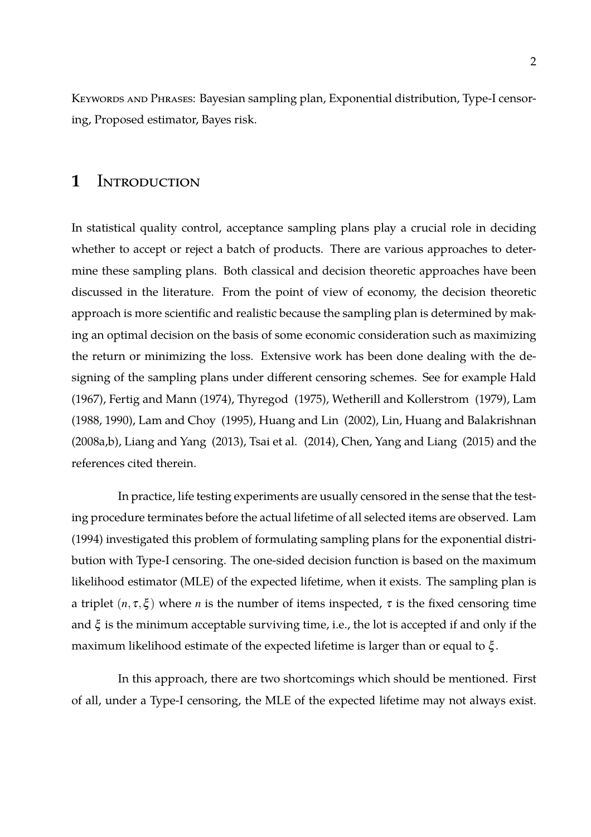KEYWORDS AND PHRASES: Bayesian sampling plan, Exponential distribution, Type-I censoring, Proposed estimator, Bayes risk.

#### 1 INTRODUCTION

In statistical quality control, acceptance sampling plans play a crucial role in deciding whether to accept or reject a batch of products. There are various approaches to determine these sampling plans. Both classical and decision theoretic approaches have been discussed in the literature. From the point of view of economy, the decision theoretic approach is more scientific and realistic because the sampling plan is determined by making an optimal decision on the basis of some economic consideration such as maximizing the return or minimizing the loss. Extensive work has been done dealing with the designing of the sampling plans under different censoring schemes. See for example Hald (1967), Fertig and Mann (1974), Thyregod (1975), Wetherill and Kollerstrom (1979), Lam (1988, 1990), Lam and Choy (1995), Huang and Lin (2002), Lin, Huang and Balakrishnan (2008a,b), Liang and Yang (2013), Tsai et al. (2014), Chen, Yang and Liang (2015) and the references cited therein.

In practice, life testing experiments are usually censored in the sense that the testing procedure terminates before the actual lifetime of all selected items are observed. Lam (1994) investigated this problem of formulating sampling plans for the exponential distribution with Type-I censoring. The one-sided decision function is based on the maximum likelihood estimator (MLE) of the expected lifetime, when it exists. The sampling plan is a triplet  $(n, \tau, \xi)$  where *n* is the number of items inspected,  $\tau$  is the fixed censoring time and  $\xi$  is the minimum acceptable surviving time, i.e., the lot is accepted if and only if the maximum likelihood estimate of the expected lifetime is larger than or equal to ξ .

In this approach, there are two shortcomings which should be mentioned. First of all, under a Type-I censoring, the MLE of the expected lifetime may not always exist.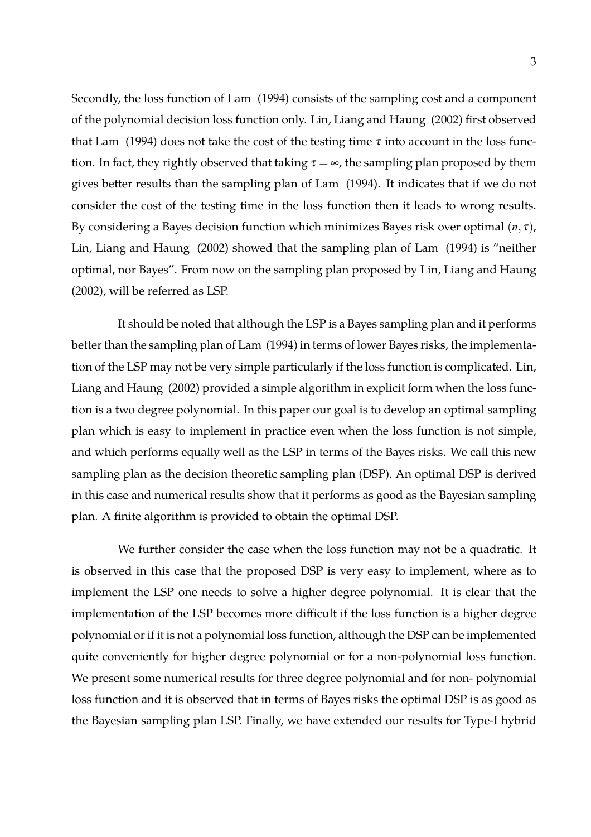Secondly, the loss function of Lam (1994) consists of the sampling cost and a component of the polynomial decision loss function only. Lin, Liang and Haung (2002) first observed that Lam (1994) does not take the cost of the testing time  $\tau$  into account in the loss function. In fact, they rightly observed that taking  $\tau = \infty$ , the sampling plan proposed by them gives better results than the sampling plan of Lam (1994). It indicates that if we do not consider the cost of the testing time in the loss function then it leads to wrong results. By considering a Bayes decision function which minimizes Bayes risk over optimal (*n*, <sup>τ</sup>), Lin, Liang and Haung (2002) showed that the sampling plan of Lam (1994) is "neither optimal, nor Bayes". From now on the sampling plan proposed by Lin, Liang and Haung (2002), will be referred as LSP.

It should be noted that although the LSP is a Bayes sampling plan and it performs better than the sampling plan of Lam (1994) in terms of lower Bayes risks, the implementation of the LSP may not be very simple particularly if the loss function is complicated. Lin, Liang and Haung (2002) provided a simple algorithm in explicit form when the loss function is a two degree polynomial. In this paper our goal is to develop an optimal sampling plan which is easy to implement in practice even when the loss function is not simple, and which performs equally well as the LSP in terms of the Bayes risks. We call this new sampling plan as the decision theoretic sampling plan (DSP). An optimal DSP is derived in this case and numerical results show that it performs as good as the Bayesian sampling plan. A finite algorithm is provided to obtain the optimal DSP.

We further consider the case when the loss function may not be a quadratic. It is observed in this case that the proposed DSP is very easy to implement, where as to implement the LSP one needs to solve a higher degree polynomial. It is clear that the implementation of the LSP becomes more difficult if the loss function is a higher degree polynomial or if it is not a polynomial loss function, although the DSP can be implemented quite conveniently for higher degree polynomial or for a non-polynomial loss function. We present some numerical results for three degree polynomial and for non- polynomial loss function and it is observed that in terms of Bayes risks the optimal DSP is as good as the Bayesian sampling plan LSP. Finally, we have extended our results for Type-I hybrid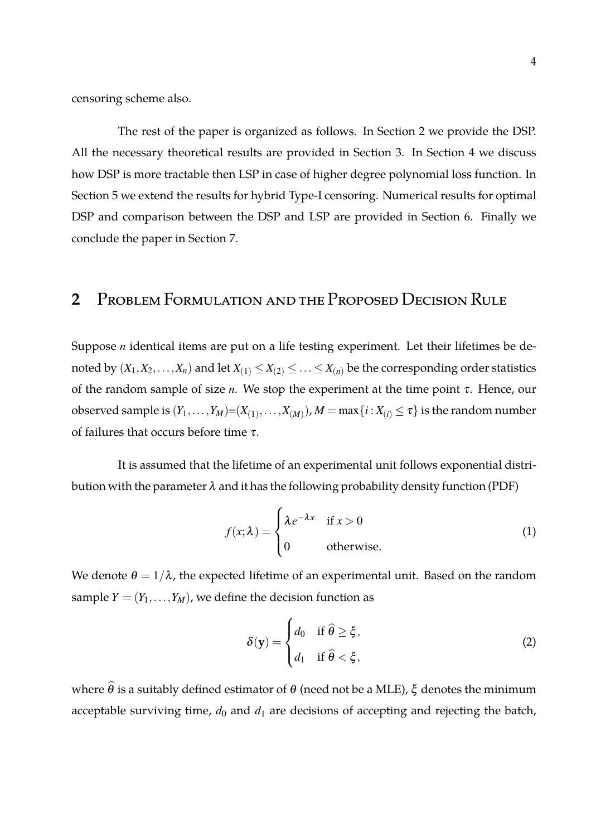censoring scheme also.

The rest of the paper is organized as follows. In Section 2 we provide the DSP. All the necessary theoretical results are provided in Section 3. In Section 4 we discuss how DSP is more tractable then LSP in case of higher degree polynomial loss function. In Section 5 we extend the results for hybrid Type-I censoring. Numerical results for optimal DSP and comparison between the DSP and LSP are provided in Section 6. Finally we conclude the paper in Section 7.

### **2** Problem Formulation and the Proposed Decision Rule

Suppose *n* identical items are put on a life testing experiment. Let their lifetimes be denoted by  $(X_1, X_2, \ldots, X_n)$  and let  $X_{(1)} \leq X_{(2)} \leq \ldots \leq X_{(n)}$  be the corresponding order statistics of the random sample of size *n*. We stop the experiment at the time point <sup>τ</sup>. Hence, our  $\alpha$  observed sample is  $(Y_1,\ldots,Y_M){=}(X_{(1)},\ldots,X_{(M)}), M=\max\{i\,{:}\,X_{(i)}\leq \tau\}$  is the random number of failures that occurs before time  $\tau$ .

It is assumed that the lifetime of an experimental unit follows exponential distribution with the parameter  $\lambda$  and it has the following probability density function (PDF)

$$
f(x; \lambda) = \begin{cases} \lambda e^{-\lambda x} & \text{if } x > 0 \\ 0 & \text{otherwise.} \end{cases}
$$
 (1)

We denote  $\theta = 1/\lambda$ , the expected lifetime of an experimental unit. Based on the random sample  $Y = (Y_1, \ldots, Y_M)$ , we define the decision function as

$$
\delta(\mathbf{y}) = \begin{cases} d_0 & \text{if } \hat{\theta} \ge \xi, \\ d_1 & \text{if } \hat{\theta} < \xi, \end{cases}
$$
 (2)

where  $\hat{\theta}$  is a suitably defined estimator of θ (need not be a MLE),  $\xi$  denotes the minimum acceptable surviving time,  $d_0$  and  $d_1$  are decisions of accepting and rejecting the batch,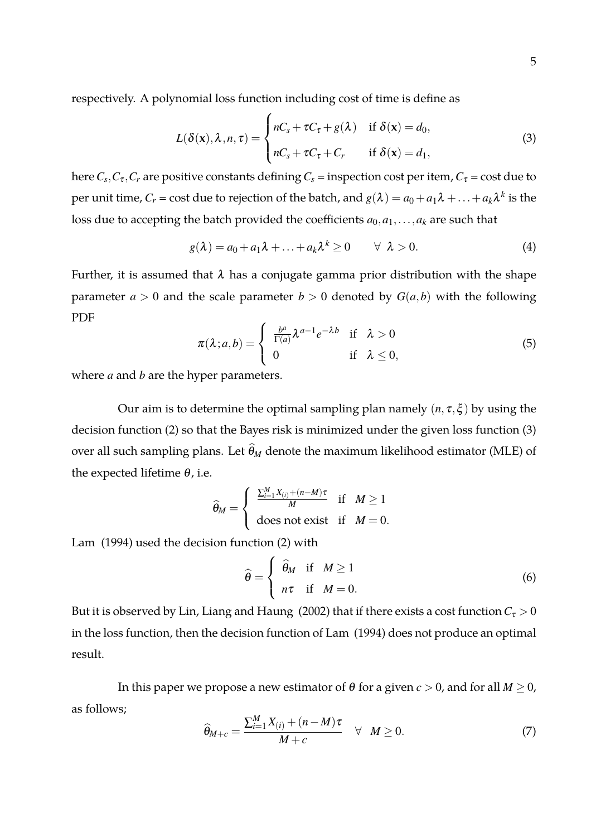respectively. A polynomial loss function including cost of time is define as

$$
L(\delta(\mathbf{x}), \lambda, n, \tau) = \begin{cases} nC_s + \tau C_\tau + g(\lambda) & \text{if } \delta(\mathbf{x}) = d_0, \\ nC_s + \tau C_\tau + C_r & \text{if } \delta(\mathbf{x}) = d_1, \end{cases}
$$
(3)

here  $C_s$ , $C_{\tau}$ , $C_r$  are positive constants defining  $C_s$  = inspection cost per item*,*  $C_{\tau}$  = cost due to per unit time,  $C_r$  = cost due to rejection of the batch, and  $g(\lambda) = a_0 + a_1\lambda + ... + a_k\lambda^k$  is the loss due to accepting the batch provided the coefficients  $a_0, a_1, \ldots, a_k$  are such that

$$
g(\lambda) = a_0 + a_1 \lambda + \ldots + a_k \lambda^k \ge 0 \qquad \forall \lambda > 0. \tag{4}
$$

Further, it is assumed that  $\lambda$  has a conjugate gamma prior distribution with the shape parameter  $a > 0$  and the scale parameter  $b > 0$  denoted by  $G(a, b)$  with the following PDF

$$
\pi(\lambda; a, b) = \begin{cases} \frac{b^a}{\Gamma(a)} \lambda^{a-1} e^{-\lambda b} & \text{if } \lambda > 0 \\ 0 & \text{if } \lambda \le 0, \end{cases}
$$
 (5)

where *a* and *b* are the hyper parameters.

Our aim is to determine the optimal sampling plan namely  $(n, \tau, \xi)$  by using the decision function (2) so that the Bayes risk is minimized under the given loss function (3) over all such sampling plans. Let  $\hat{\theta}_M$  denote the maximum likelihood estimator (MLE) of the expected lifetime  $\theta$ , i.e.

$$
\widehat{\theta}_M = \begin{cases} \frac{\sum_{i=1}^M X_{(i)} + (n-M)\tau}{M} & \text{if } M \ge 1\\ \text{does not exist} & \text{if } M = 0. \end{cases}
$$

Lam (1994) used the decision function (2) with

$$
\widehat{\theta} = \begin{cases} \widehat{\theta}_M & \text{if } M \ge 1 \\ n\tau & \text{if } M = 0. \end{cases}
$$
 (6)

But it is observed by Lin, Liang and Haung (2002) that if there exists a cost function  $C_\tau > 0$ in the loss function, then the decision function of Lam (1994) does not produce an optimal result.

In this paper we propose a new estimator of  $\theta$  for a given  $c > 0$ , and for all  $M \geq 0$ , as follows;

$$
\widehat{\theta}_{M+c} = \frac{\sum_{i=1}^{M} X_{(i)} + (n-M)\tau}{M+c} \quad \forall \quad M \ge 0.
$$
\n(7)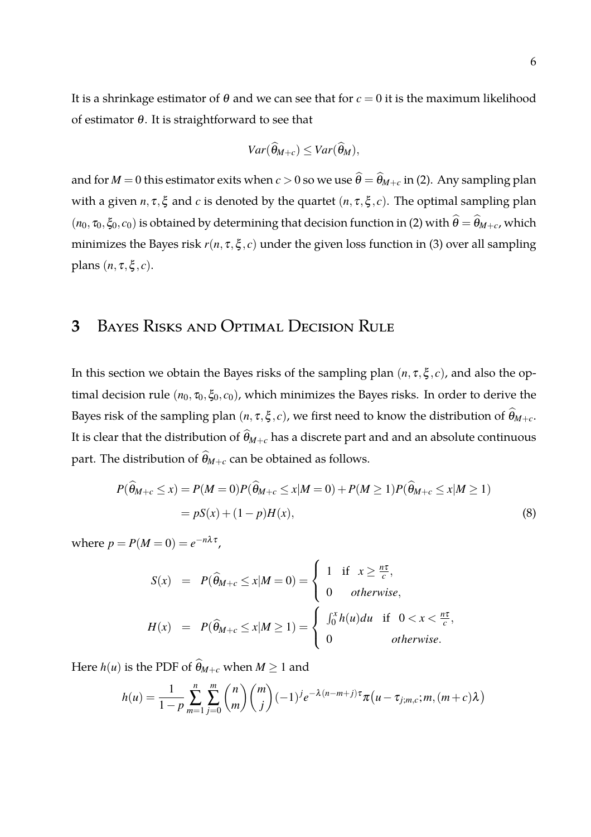It is a shrinkage estimator of  $\theta$  and we can see that for  $c = 0$  it is the maximum likelihood of estimator <sup>θ</sup>. It is straightforward to see that

$$
Var(\widehat{\theta}_{M+c}) \leq Var(\widehat{\theta}_M),
$$

and for  $M = 0$  this estimator exits when  $c > 0$  so we use  $\hat{\theta} = \hat{\theta}_{M+c}$  in (2). Any sampling plan with a given  $n, \tau, \xi$  and  $c$  is denoted by the quartet  $(n, \tau, \xi, c)$ . The optimal sampling plan  $(n_0, \tau_0, \xi_0, c_0)$  is obtained by determining that decision function in (2) with  $\hat{\theta} = \hat{\theta}_{M+c}$ , which minimizes the Bayes risk *r*(*n*, <sup>τ</sup>,ξ , *c*) under the given loss function in (3) over all sampling plans  $(n, \tau, \xi, c)$ .

## **3** Bayes Risks and Optimal Decision Rule

In this section we obtain the Bayes risks of the sampling plan  $(n, \tau, \xi, c)$ , and also the optimal decision rule  $(n_0, \tau_0, \xi_0, c_0)$ , which minimizes the Bayes risks. In order to derive the Bayes risk of the sampling plan  $(n, \tau, \xi, c)$ , we first need to know the distribution of  $\widehat{\theta}_{M+c}$ . It is clear that the distribution of  $\widehat{\theta}_{M+c}$  has a discrete part and and an absolute continuous part. The distribution of  $\widehat{\theta}_{M+c}$  can be obtained as follows.

$$
P(\widehat{\theta}_{M+c} \le x) = P(M=0)P(\widehat{\theta}_{M+c} \le x|M=0) + P(M \ge 1)P(\widehat{\theta}_{M+c} \le x|M \ge 1)
$$
  
= 
$$
pS(x) + (1-p)H(x),
$$
 (8)

where  $p = P(M=0) = e^{-n\lambda \tau}$ ,

$$
S(x) = P(\widehat{\theta}_{M+c} \le x | M = 0) = \begin{cases} 1 & \text{if } x \ge \frac{n\tau}{c}, \\ 0 & \text{otherwise}, \end{cases}
$$

$$
H(x) = P(\widehat{\theta}_{M+c} \le x | M \ge 1) = \begin{cases} \int_0^x h(u) du & \text{if } 0 < x < \frac{n\tau}{c}, \\ 0 & \text{otherwise}. \end{cases}
$$

Here *h*(*u*) is the PDF of  $\widehat{\theta}_{M+c}$  when  $M \ge 1$  and

$$
h(u) = \frac{1}{1-p} \sum_{m=1}^{n} \sum_{j=0}^{m} {n \choose m} {m \choose j} (-1)^{j} e^{-\lambda(n-m+j)\tau} \pi(u - \tau_{j;m,c}; m, (m+c)\lambda)
$$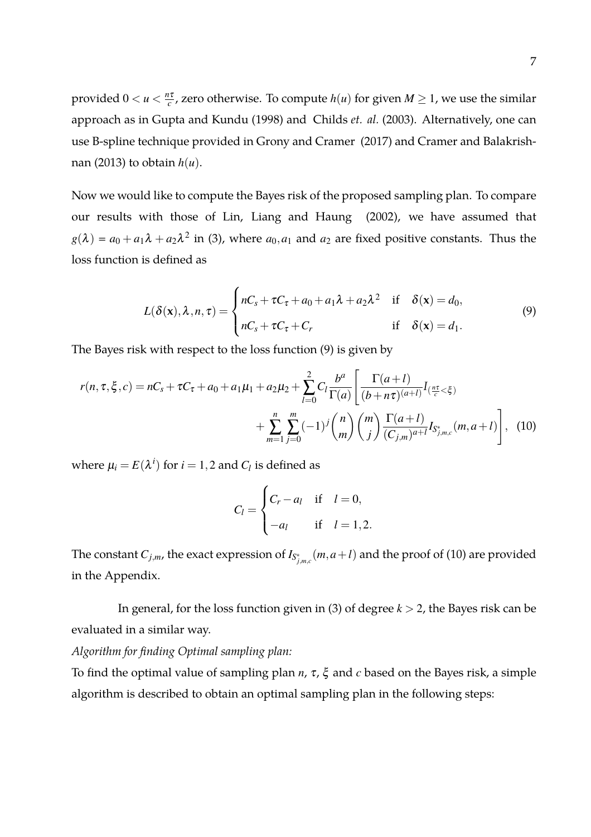provided  $0 < u < \frac{n\tau}{c}$  $\frac{d\tau}{dr}$ , zero otherwise. To compute  $h(u)$  for given  $M \geq 1$ , we use the similar approach as in Gupta and Kundu (1998) and Childs *et. al.* (2003). Alternatively, one can use B-spline technique provided in Grony and Cramer (2017) and Cramer and Balakrishnan (2013) to obtain *h*(*u*).

Now we would like to compute the Bayes risk of the proposed sampling plan. To compare our results with those of Lin, Liang and Haung (2002), we have assumed that  $g(\lambda) = a_0 + a_1 \lambda + a_2 \lambda^2$  in (3), where  $a_0, a_1$  and  $a_2$  are fixed positive constants. Thus the loss function is defined as

$$
L(\delta(\mathbf{x}), \lambda, n, \tau) = \begin{cases} nC_s + \tau C_\tau + a_0 + a_1 \lambda + a_2 \lambda^2 & \text{if } \delta(\mathbf{x}) = d_0, \\ nC_s + \tau C_\tau + C_r & \text{if } \delta(\mathbf{x}) = d_1. \end{cases}
$$
(9)

The Bayes risk with respect to the loss function (9) is given by

$$
r(n, \tau, \xi, c) = nC_s + \tau C_{\tau} + a_0 + a_1 \mu_1 + a_2 \mu_2 + \sum_{l=0}^{2} C_l \frac{b^a}{\Gamma(a)} \left[ \frac{\Gamma(a+l)}{(b+n\tau)^{(a+l)}} I_{(\frac{n\tau}{c} < \xi)} + \sum_{m=1}^{n} \sum_{j=0}^{m} (-1)^j {n \choose m} {m \choose j} \frac{\Gamma(a+l)}{(C_{j,m})^{a+l}} I_{S_{j,m,c}^*}(m, a+l) \right], \tag{10}
$$

where  $\mu_i = E(\lambda^i)$  for  $i = 1,2$  and  $C_l$  is defined as

$$
C_l = \begin{cases} C_r - a_l & \text{if } l = 0, \\ -a_l & \text{if } l = 1, 2. \end{cases}
$$

The constant  $C_{j,m}$ , the exact expression of  $I_{S^*_{j,m,c}}(m,a+l)$  and the proof of (10) are provided in the Appendix.

In general, for the loss function given in (3) of degree *k* > 2, the Bayes risk can be evaluated in a similar way.

*Algorithm for finding Optimal sampling plan:*

To find the optimal value of sampling plan *n*, <sup>τ</sup>, ξ and *c* based on the Bayes risk, a simple algorithm is described to obtain an optimal sampling plan in the following steps: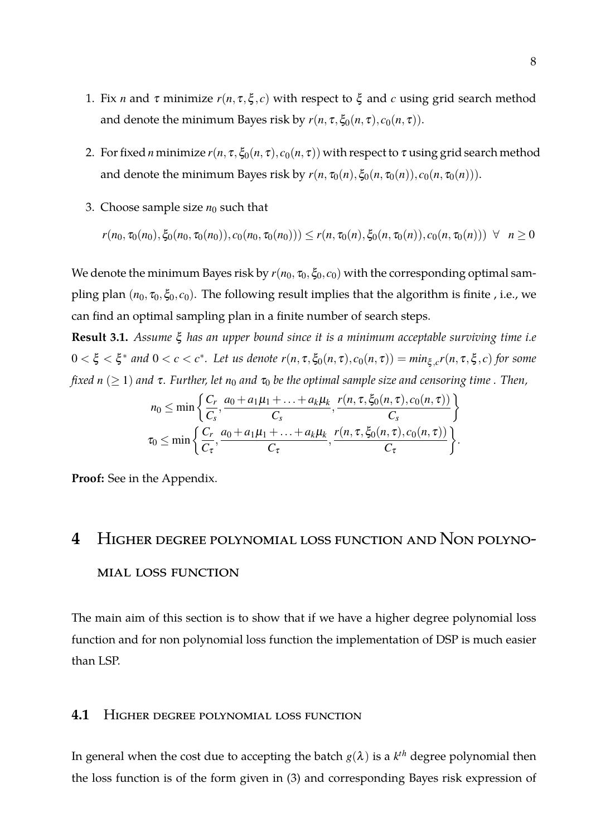- 1. Fix *n* and  $\tau$  minimize  $r(n, \tau, \xi, c)$  with respect to  $\xi$  and *c* using grid search method and denote the minimum Bayes risk by  $r(n, \tau, \xi_0(n, \tau), c_0(n, \tau))$ .
- 2. For fixed *n* minimize  $r(n, \tau, \xi_0(n, \tau), c_0(n, \tau))$  with respect to  $\tau$  using grid search method and denote the minimum Bayes risk by  $r(n, \tau_0(n), \xi_0(n, \tau_0(n)), c_0(n, \tau_0(n)))$ .
- 3. Choose sample size  $n_0$  such that

$$
r(n_0, \tau_0(n_0), \xi_0(n_0, \tau_0(n_0)), c_0(n_0, \tau_0(n_0))) \le r(n, \tau_0(n), \xi_0(n, \tau_0(n)), c_0(n, \tau_0(n))) \quad \forall \quad n \ge 0
$$

We denote the minimum Bayes risk by  $r(n_0, \tau_0, \xi_0, c_0)$  with the corresponding optimal sampling plan  $(n_0, \tau_0, \xi_0, c_0)$ . The following result implies that the algorithm is finite, i.e., we can find an optimal sampling plan in a finite number of search steps.

**Result 3.1.** *Assume* ξ *has an upper bound since it is a minimum acceptable surviving time i.e*  $0 < \xi < \xi^*$  and  $0 < c < c^*$ . Let us denote  $r(n, \tau, \xi_0(n, \tau), c_0(n, \tau)) = min_{\xi, c} r(n, \tau, \xi, c)$  for some *fixed*  $n \geq 1$  *and*  $\tau$ . Further, let  $n_0$  *and*  $\tau_0$  be the optimal sample size and censoring time. Then,

$$
n_0 \leq \min\left\{\frac{C_r}{C_s}, \frac{a_0 + a_1\mu_1 + \ldots + a_k\mu_k}{C_s}, \frac{r(n, \tau, \xi_0(n, \tau), c_0(n, \tau))}{C_s}\right\}
$$
  

$$
\tau_0 \leq \min\left\{\frac{C_r}{C_\tau}, \frac{a_0 + a_1\mu_1 + \ldots + a_k\mu_k}{C_\tau}, \frac{r(n, \tau, \xi_0(n, \tau), c_0(n, \tau))}{C_\tau}\right\}.
$$

**Proof:** See in the Appendix.

# **4** Higher degree polynomial loss function and Non polynomial loss function

The main aim of this section is to show that if we have a higher degree polynomial loss function and for non polynomial loss function the implementation of DSP is much easier than LSP.

#### **4.1** Higher degree polynomial loss function

In general when the cost due to accepting the batch  $g(\lambda)$  is a  $k^{th}$  degree polynomial then the loss function is of the form given in (3) and corresponding Bayes risk expression of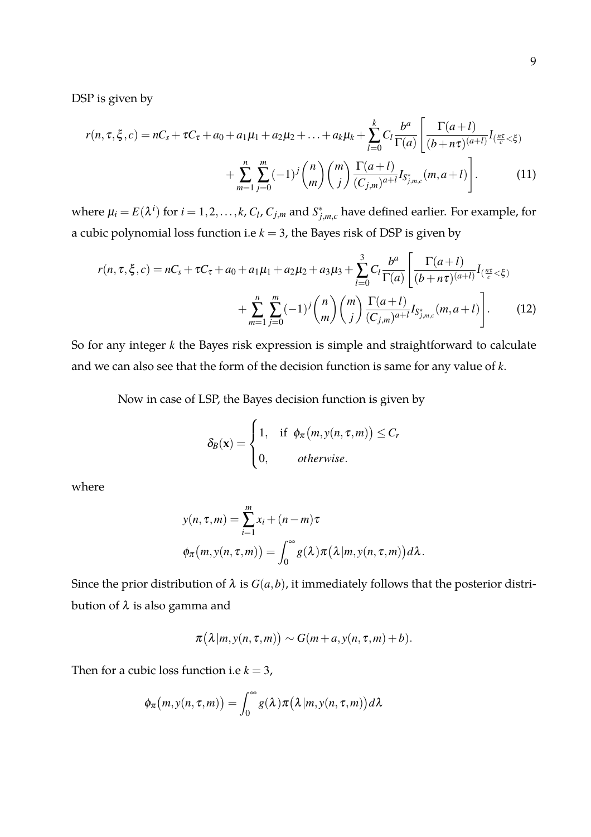DSP is given by

$$
r(n, \tau, \xi, c) = nC_s + \tau C_{\tau} + a_0 + a_1 \mu_1 + a_2 \mu_2 + \dots + a_k \mu_k + \sum_{l=0}^k C_l \frac{b^a}{\Gamma(a)} \left[ \frac{\Gamma(a+l)}{(b+n\tau)^{(a+l)}} I_{\frac{n\tau}{c} < \xi} \right] + \sum_{m=1}^n \sum_{j=0}^m (-1)^j \binom{n}{m} \binom{m}{j} \frac{\Gamma(a+l)}{(C_{j,m})^{a+l}} I_{S_{j,m,c}^*}(m, a+l) \right].
$$
 (11)

where  $\mu_i = E(\lambda^i)$  for  $i = 1, 2, ..., k$ ,  $C_l$ ,  $C_{j,m}$  and  $S^*_{j,m,c}$  have defined earlier. For example, for a cubic polynomial loss function i.e *k* = 3, the Bayes risk of DSP is given by

$$
r(n, \tau, \xi, c) = nC_s + \tau C_{\tau} + a_0 + a_1\mu_1 + a_2\mu_2 + a_3\mu_3 + \sum_{l=0}^{3} C_l \frac{b^a}{\Gamma(a)} \left[ \frac{\Gamma(a+l)}{(b+n\tau)^{(a+l)}} I_{(\frac{n\tau}{c} < \xi)} + \sum_{m=1}^{n} \sum_{j=0}^{m} (-1)^j {n \choose m} {m \choose j} \frac{\Gamma(a+l)}{(C_{j,m})^{a+l}} I_{S_{j,m,c}^*}(m, a+l) \right].
$$
 (12)

So for any integer *k* the Bayes risk expression is simple and straightforward to calculate and we can also see that the form of the decision function is same for any value of *k*.

Now in case of LSP, the Bayes decision function is given by

$$
\delta_B(\mathbf{x}) = \begin{cases} 1, & \text{if } \phi_\pi(m, y(n, \tau, m)) \leq C_r \\ 0, & \text{otherwise.} \end{cases}
$$

where

$$
y(n, \tau, m) = \sum_{i=1}^{m} x_i + (n - m)\tau
$$
  

$$
\phi_{\pi}(m, y(n, \tau, m)) = \int_0^{\infty} g(\lambda) \pi(\lambda | m, y(n, \tau, m)) d\lambda.
$$

Since the prior distribution of  $\lambda$  is  $G(a,b)$ , it immediately follows that the posterior distribution of  $\lambda$  is also gamma and

$$
\pi(\lambda|m,y(n,\tau,m)) \sim G(m+a,y(n,\tau,m)+b).
$$

Then for a cubic loss function i.e  $k = 3$ ,

$$
\phi_{\pi}(m, y(n, \tau, m)) = \int_0^{\infty} g(\lambda) \pi(\lambda | m, y(n, \tau, m)) d\lambda
$$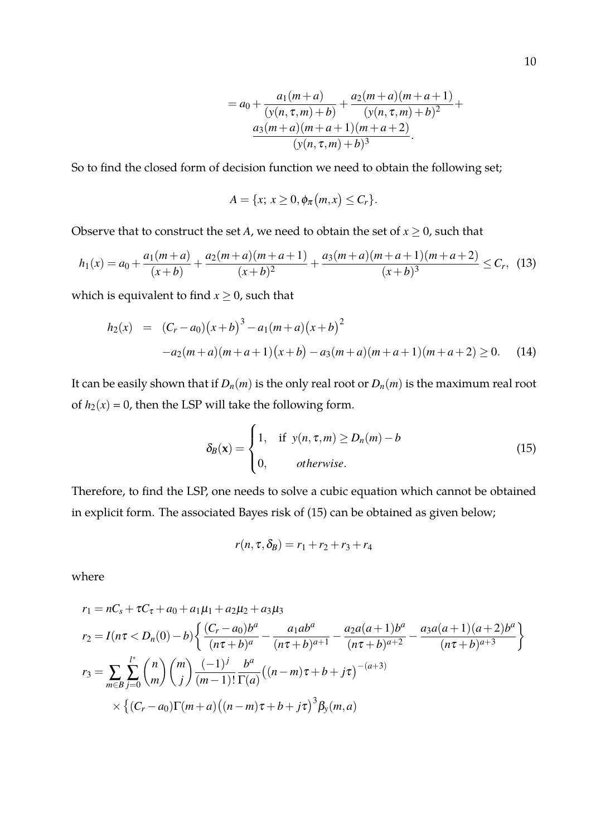$$
= a_0 + \frac{a_1(m+a)}{(y(n, \tau, m) + b)} + \frac{a_2(m+a)(m+a+1)}{(y(n, \tau, m) + b)^2} + \frac{a_3(m+a)(m+a+1)(m+a+2)}{(y(n, \tau, m) + b)^3}.
$$

So to find the closed form of decision function we need to obtain the following set;

$$
A = \{x; x \geq 0, \phi_{\pi}(m,x) \leq C_r\}.
$$

Observe that to construct the set *A*, we need to obtain the set of  $x \geq 0$ , such that

$$
h_1(x) = a_0 + \frac{a_1(m+a)}{(x+b)} + \frac{a_2(m+a)(m+a+1)}{(x+b)^2} + \frac{a_3(m+a)(m+a+1)(m+a+2)}{(x+b)^3} \leq C_r, \tag{13}
$$

which is equivalent to find  $x \geq 0$ , such that

$$
h_2(x) = (C_r - a_0)(x+b)^3 - a_1(m+a)(x+b)^2
$$
  
-a<sub>2</sub>(m+a)(m+a+1)(x+b) - a<sub>3</sub>(m+a)(m+a+1)(m+a+2) \ge 0. (14)

It can be easily shown that if  $D_n(m)$  is the only real root or  $D_n(m)$  is the maximum real root of  $h_2(x) = 0$ , then the LSP will take the following form.

$$
\delta_B(\mathbf{x}) = \begin{cases} 1, & \text{if } y(n, \tau, m) \ge D_n(m) - b \\ 0, & \text{otherwise.} \end{cases} \tag{15}
$$

Therefore, to find the LSP, one needs to solve a cubic equation which cannot be obtained in explicit form. The associated Bayes risk of (15) can be obtained as given below;

$$
r(n, \tau, \delta_B) = r_1 + r_2 + r_3 + r_4
$$

where

$$
r_1 = nC_s + \tau C_{\tau} + a_0 + a_1\mu_1 + a_2\mu_2 + a_3\mu_3
$$
  
\n
$$
r_2 = I(n\tau < D_n(0) - b) \left\{ \frac{(C_r - a_0)b^a}{(n\tau + b)^a} - \frac{a_1ab^a}{(n\tau + b)^{a+1}} - \frac{a_2a(a+1)b^a}{(n\tau + b)^{a+2}} - \frac{a_3a(a+1)(a+2)b^a}{(n\tau + b)^{a+3}} \right\}
$$
  
\n
$$
r_3 = \sum_{m \in B} \sum_{j=0}^{l^*} {n \choose m} {m \choose j} \frac{(-1)^j}{(m-1)!} \frac{b^a}{\Gamma(a)} ((n-m)\tau + b + j\tau)^{-(a+3)}
$$
  
\n
$$
\times \left\{ (C_r - a_0)\Gamma(m+a)((n-m)\tau + b + j\tau)^3 \beta_y(m, a) \right\}
$$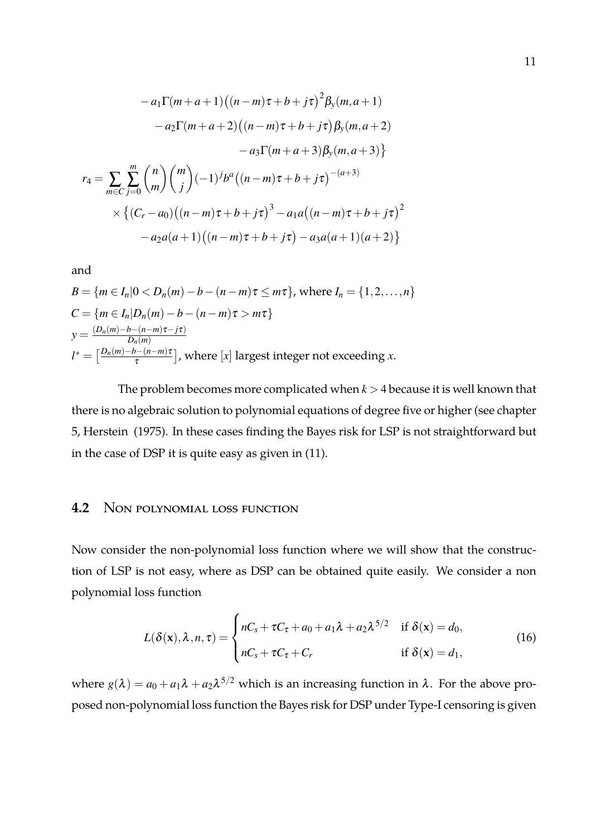$$
-a_1 \Gamma(m+a+1) ((n-m)\tau+b+j\tau)^2 \beta_y(m,a+1)
$$
  
\n
$$
-a_2 \Gamma(m+a+2) ((n-m)\tau+b+j\tau) \beta_y(m,a+2)
$$
  
\n
$$
-a_3 \Gamma(m+a+3) \beta_y(m,a+3)
$$
  
\n
$$
r_4 = \sum_{m \in C} \sum_{j=0}^m {n \choose m} {m \choose j} (-1)^j b^a ((n-m)\tau+b+j\tau)^{-(a+3)}
$$
  
\n
$$
\times \left\{ (C_r - a_0) ((n-m)\tau+b+j\tau)^3 - a_1 a ((n-m)\tau+b+j\tau)^2 - a_2 a (a+1) ((n-m)\tau+b+j\tau) - a_3 a (a+1) (a+2) \right\}
$$

and

$$
B = \{m \in I_n | 0 < D_n(m) - b - (n - m)\tau \le m\tau\}, \text{ where } I_n = \{1, 2, \dots, n\}
$$
\n
$$
C = \{m \in I_n | D_n(m) - b - (n - m)\tau > m\tau\}
$$
\n
$$
y = \frac{(D_n(m) - b - (n - m)\tau - j\tau)}{D_n(m)}
$$
\n
$$
l^* = \left[\frac{D_n(m) - b - (n - m)\tau}{\tau}\right], \text{ where } [x] \text{ largest integer not exceeding } x.
$$

The problem becomes more complicated when *k* > 4 because it is well known that there is no algebraic solution to polynomial equations of degree five or higher (see chapter 5, Herstein (1975). In these cases finding the Bayes risk for LSP is not straightforward but in the case of DSP it is quite easy as given in (11).

#### **4.2** Non polynomial loss function

Now consider the non-polynomial loss function where we will show that the construction of LSP is not easy, where as DSP can be obtained quite easily. We consider a non polynomial loss function

$$
L(\delta(\mathbf{x}), \lambda, n, \tau) = \begin{cases} nC_s + \tau C_\tau + a_0 + a_1 \lambda + a_2 \lambda^{5/2} & \text{if } \delta(\mathbf{x}) = d_0, \\ nC_s + \tau C_\tau + C_r & \text{if } \delta(\mathbf{x}) = d_1, \end{cases}
$$
(16)

where  $g(\lambda) = a_0 + a_1 \lambda + a_2 \lambda^{5/2}$  which is an increasing function in  $\lambda$ . For the above proposed non-polynomial loss function the Bayes risk for DSP under Type-I censoring is given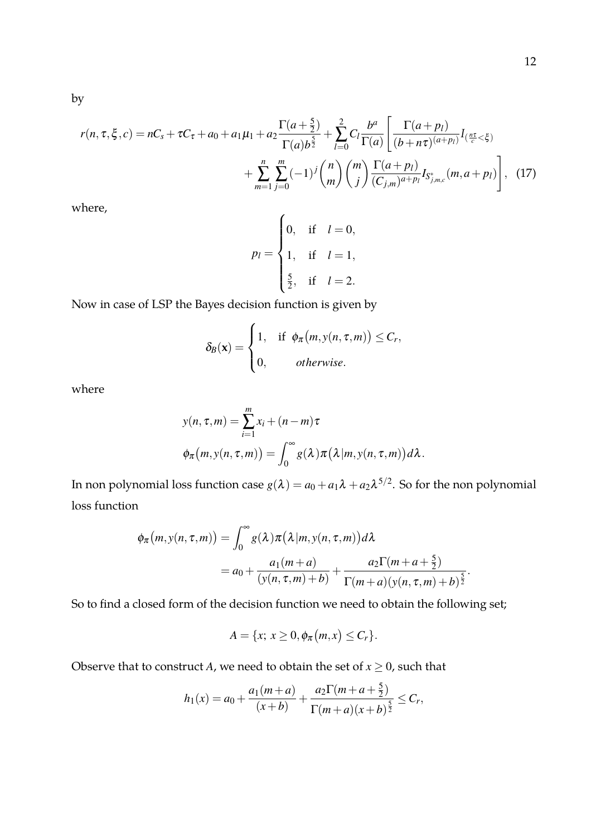by

$$
r(n, \tau, \xi, c) = nC_s + \tau C_{\tau} + a_0 + a_1 \mu_1 + a_2 \frac{\Gamma(a + \frac{5}{2})}{\Gamma(a)b^{\frac{5}{2}}} + \sum_{l=0}^{2} C_l \frac{b^a}{\Gamma(a)} \left[ \frac{\Gamma(a + p_l)}{(b + n\tau)^{(a + p_l)}} I_{(\frac{n\tau}{c} < \xi)} + \sum_{m=1}^{n} \sum_{j=0}^{m} (-1)^j {n \choose m} {m \choose j} \frac{\Gamma(a + p_l)}{(C_{j,m})^{a + p_l}} I_{S_{j,m,c}^*}(m, a + p_l) \right], \quad (17)
$$

where,

$$
p_l = \begin{cases} 0, & \text{if } l = 0, \\ 1, & \text{if } l = 1, \\ \frac{5}{2}, & \text{if } l = 2. \end{cases}
$$

Now in case of LSP the Bayes decision function is given by

$$
\delta_B(\mathbf{x}) = \begin{cases} 1, & \text{if } \phi_\pi(m, y(n, \tau, m)) \leq C_r, \\ 0, & \text{otherwise.} \end{cases}
$$

where

$$
y(n, \tau, m) = \sum_{i=1}^{m} x_i + (n - m)\tau
$$
  

$$
\phi_{\pi}(m, y(n, \tau, m)) = \int_0^{\infty} g(\lambda) \pi(\lambda | m, y(n, \tau, m)) d\lambda.
$$

In non polynomial loss function case  $g(\lambda) = a_0 + a_1 \lambda + a_2 \lambda^{5/2}.$  So for the non polynomial loss function

$$
\phi_{\pi}(m, y(n, \tau, m)) = \int_0^{\infty} g(\lambda) \pi(\lambda | m, y(n, \tau, m)) d\lambda
$$
  
=  $a_0 + \frac{a_1(m+a)}{(y(n, \tau, m)+b)} + \frac{a_2 \Gamma(m+a+\frac{5}{2})}{\Gamma(m+a)(y(n, \tau, m)+b)^{\frac{5}{2}}}.$ 

So to find a closed form of the decision function we need to obtain the following set;

$$
A = \{x; x \geq 0, \phi_{\pi}(m,x) \leq C_r\}.
$$

Observe that to construct *A*, we need to obtain the set of  $x \geq 0$ , such that

$$
h_1(x) = a_0 + \frac{a_1(m+a)}{(x+b)} + \frac{a_2\Gamma(m+a+\frac{5}{2})}{\Gamma(m+a)(x+b)^{\frac{5}{2}}} \leq C_r,
$$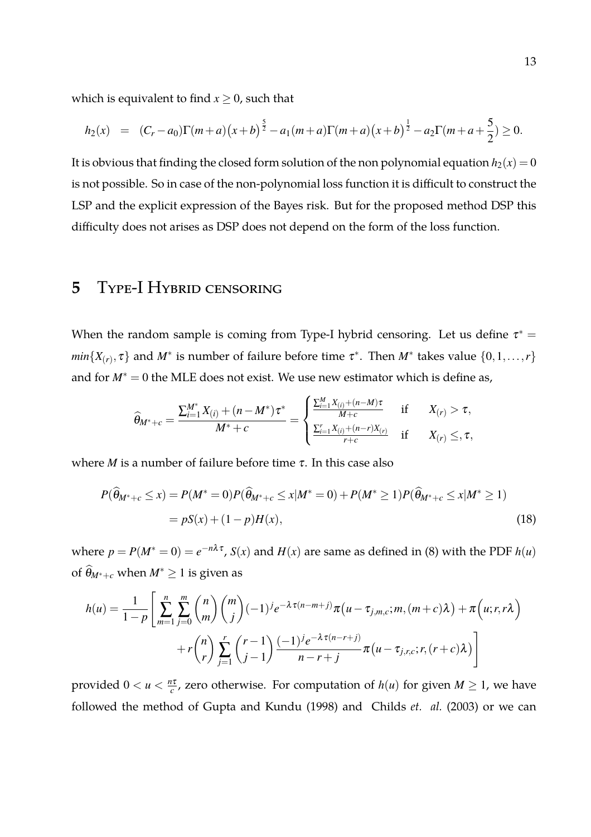which is equivalent to find  $x \geq 0$ , such that

$$
h_2(x) = (C_r - a_0)\Gamma(m+a)\left(x+b\right)^{\frac{5}{2}} - a_1(m+a)\Gamma(m+a)\left(x+b\right)^{\frac{1}{2}} - a_2\Gamma(m+a+\frac{5}{2}) \ge 0.
$$

It is obvious that finding the closed form solution of the non polynomial equation  $h_2(x) = 0$ is not possible. So in case of the non-polynomial loss function it is difficult to construct the LSP and the explicit expression of the Bayes risk. But for the proposed method DSP this difficulty does not arises as DSP does not depend on the form of the loss function.

#### **5** Type-I Hybrid censoring

When the random sample is coming from Type-I hybrid censoring. Let us define  $\tau^* =$ *min*{*X*<sub>(*r*)</sub>,  $\tau$ } and *M*<sup>\*</sup> is number of failure before time  $\tau$ <sup>\*</sup>. Then *M*<sup>\*</sup> takes value {0,1,...,*r*} and for  $M^* = 0$  the MLE does not exist. We use new estimator which is define as,

$$
\widehat{\theta}_{M^*+c} = \frac{\sum_{i=1}^{M^*} X_{(i)} + (n-M^*)\tau^*}{M^*+c} = \begin{cases} \frac{\sum_{i=1}^{M} X_{(i)} + (n-M)\tau}{M+c} & \text{if } X_{(r)} > \tau, \\ \frac{\sum_{i=1}^{r} X_{(i)} + (n-r)X_{(r)}}{r+c} & \text{if } X_{(r)} \leq, \tau, \end{cases}
$$

where *M* is a number of failure before time  $\tau$ . In this case also

$$
P(\widehat{\theta}_{M^*+c} \le x) = P(M^* = 0)P(\widehat{\theta}_{M^*+c} \le x|M^* = 0) + P(M^* \ge 1)P(\widehat{\theta}_{M^*+c} \le x|M^* \ge 1)
$$
  
=  $pS(x) + (1 - p)H(x)$ , (18)

where  $p = P(M^* = 0) = e^{-n\lambda \tau}$ ,  $S(x)$  and  $H(x)$  are same as defined in (8) with the PDF  $h(u)$ of  $\widehat{\theta}_{M^*+c}$  when  $M^* \geq 1$  is given as

$$
h(u) = \frac{1}{1-p} \left[ \sum_{m=1}^{n} \sum_{j=0}^{m} {n \choose m} {m \choose j} (-1)^{j} e^{-\lambda \tau (n-m+j)} \pi(u-\tau_{j,m,c};m,(m+c)\lambda) + \pi(u;r,r\lambda) + r \binom{n}{r} \sum_{j=1}^{r} {r-1 \choose j-1} \frac{(-1)^{j} e^{-\lambda \tau (n-r+j)}}{n-r+j} \pi(u-\tau_{j,r,c};r,(r+c)\lambda) \right]
$$

provided  $0 < u < \frac{n\tau}{c}$  $\frac{d\tau}{dr}$ , zero otherwise. For computation of  $h(u)$  for given  $M \geq 1$ , we have followed the method of Gupta and Kundu (1998) and Childs *et. al.* (2003) or we can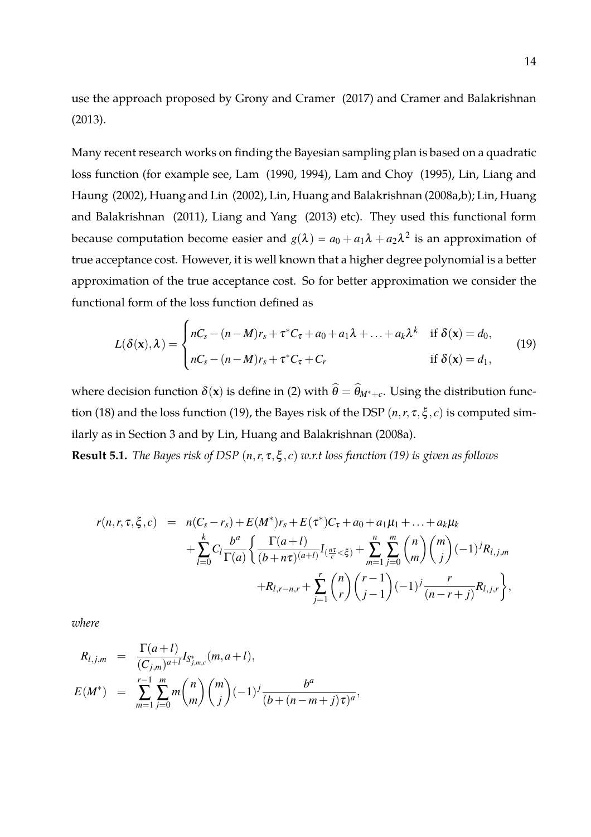use the approach proposed by Grony and Cramer (2017) and Cramer and Balakrishnan (2013).

Many recent research works on finding the Bayesian sampling plan is based on a quadratic loss function (for example see, Lam (1990, 1994), Lam and Choy (1995), Lin, Liang and Haung (2002), Huang and Lin (2002), Lin, Huang and Balakrishnan (2008a,b); Lin, Huang and Balakrishnan (2011), Liang and Yang (2013) etc). They used this functional form because computation become easier and  $g(\lambda) = a_0 + a_1 \lambda + a_2 \lambda^2$  is an approximation of true acceptance cost. However, it is well known that a higher degree polynomial is a better approximation of the true acceptance cost. So for better approximation we consider the functional form of the loss function defined as

$$
L(\delta(\mathbf{x}), \lambda) = \begin{cases} nC_s - (n-M)r_s + \tau^* C_{\tau} + a_0 + a_1 \lambda + \ldots + a_k \lambda^k & \text{if } \delta(\mathbf{x}) = d_0, \\ nC_s - (n-M)r_s + \tau^* C_{\tau} + C_r & \text{if } \delta(\mathbf{x}) = d_1, \end{cases}
$$
(19)

where decision function  $\delta(\mathbf{x})$  is define in (2) with  $\widehat{\theta} = \widehat{\theta}_{M^*+c}$ . Using the distribution function (18) and the loss function (19), the Bayes risk of the DSP  $(n, r, \tau, \xi, c)$  is computed similarly as in Section 3 and by Lin, Huang and Balakrishnan (2008a).

**Result 5.1.** *The Bayes risk of DSP* (*n*,*r*, <sup>τ</sup>,ξ , *c*) *w.r.t loss function (19) is given as follows*

$$
r(n,r,\tau,\xi,c) = n(C_s - r_s) + E(M^*)r_s + E(\tau^*)C_{\tau} + a_0 + a_1\mu_1 + \dots + a_k\mu_k
$$
  
+ 
$$
\sum_{l=0}^k C_l \frac{b^a}{\Gamma(a)} \left\{ \frac{\Gamma(a+l)}{(b+n\tau)^{(a+l)}} I_{(\frac{n\tau}{c} < \xi)} + \sum_{m=1}^n \sum_{j=0}^m {n \choose m} {m \choose j} (-1)^j R_{l,j,m} + R_{l,r-n,r} + \sum_{j=1}^r {n \choose r} {r-1 \choose j-1} (-1)^j \frac{r}{(n-r+j)} R_{l,j,r} \right\},
$$

*where*

$$
R_{l,j,m} = \frac{\Gamma(a+l)}{(C_{j,m})^{a+l}} I_{S_{j,m,c}^*}(m, a+l),
$$
  
\n
$$
E(M^*) = \sum_{m=1}^{r-1} \sum_{j=0}^m m \binom{n}{m} \binom{m}{j} (-1)^j \frac{b^a}{(b+(n-m+j)\tau)^a},
$$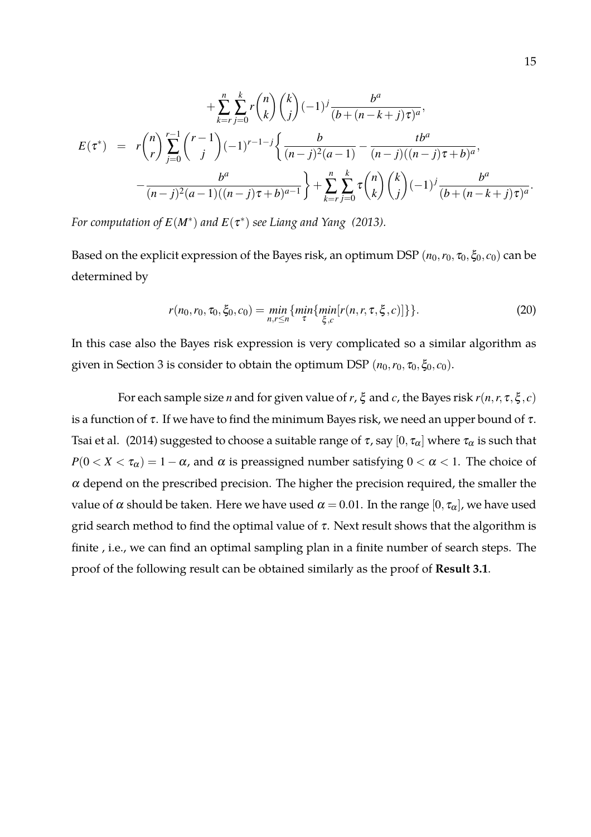$$
+\sum_{k=r}^{n} \sum_{j=0}^{k} r {n \choose k} {k \choose j} (-1)^{j} \frac{b^{a}}{(b+(n-k+j)\tau)^{a}},
$$
  

$$
E(\tau^{*}) = r {n \choose r} \sum_{j=0}^{r-1} {r-1 \choose j} (-1)^{r-1-j} \left\{ \frac{b}{(n-j)^{2}(a-1)} - \frac{tb^{a}}{(n-j)((n-j)\tau+b)^{a}}, -\frac{b^{a}}{(n-j)^{2}(a-1)((n-j)\tau+b)^{a-1}} \right\} + \sum_{k=r}^{n} \sum_{j=0}^{k} \tau {n \choose k} {k \choose j} (-1)^{j} \frac{b^{a}}{(b+(n-k+j)\tau)^{a}}.
$$

For computation of  $E(M^*)$  and  $E(\tau^*)$  see Liang and Yang (2013).

Based on the explicit expression of the Bayes risk, an optimum DSP  $(n_0, r_0, \tau_0, \xi_0, c_0)$  can be determined by

$$
r(n_0, r_0, \tau_0, \xi_0, c_0) = \min_{n, r \le n} \{ \min_{\tau} \{ \min_{\xi, c} [r(n, r, \tau, \xi, c)] \} \}.
$$
 (20)

In this case also the Bayes risk expression is very complicated so a similar algorithm as given in Section 3 is consider to obtain the optimum DSP  $(n_0, r_0, \tau_0, \xi_0, c_0)$ .

For each sample size *n* and for given value of *r*,  $\xi$  and *c*, the Bayes risk  $r(n, r, \tau, \xi, c)$ is a function of  $\tau$ . If we have to find the minimum Bayes risk, we need an upper bound of  $\tau$ . Tsai et al. (2014) suggested to choose a suitable range of  $\tau$ , say  $[0, \tau_\alpha]$  where  $\tau_\alpha$  is such that *P*( $0 < X < \tau_\alpha$ ) = 1 –  $\alpha$ , and  $\alpha$  is preassigned number satisfying  $0 < \alpha < 1$ . The choice of  $\alpha$  depend on the prescribed precision. The higher the precision required, the smaller the value of  $\alpha$  should be taken. Here we have used  $\alpha = 0.01$ . In the range  $[0, \tau_{\alpha}]$ , we have used grid search method to find the optimal value of  $\tau$ . Next result shows that the algorithm is finite , i.e., we can find an optimal sampling plan in a finite number of search steps. The proof of the following result can be obtained similarly as the proof of **Result 3.1**.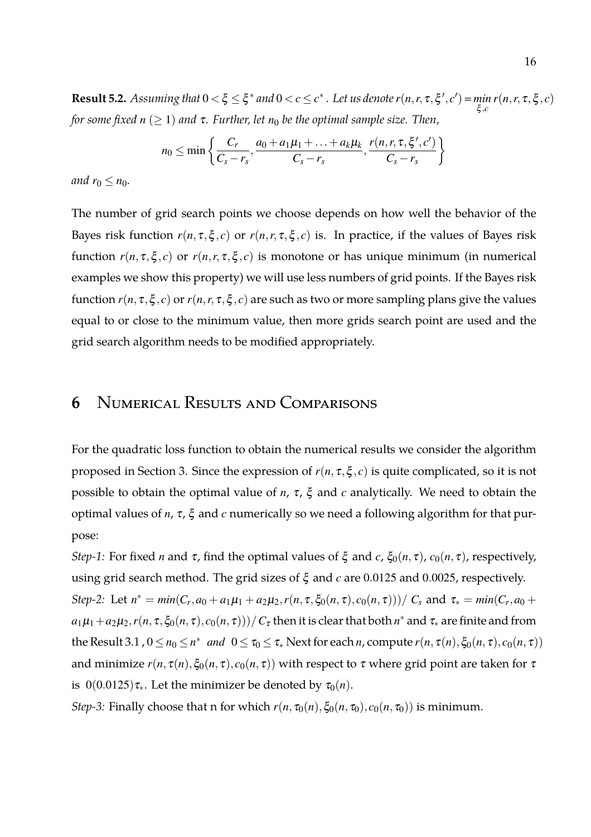**Result 5.2.** Assuming that  $0 < \xi \leq \xi^*$  and  $0 < c \leq c^*$ . Let us denote  $r(n, r, \tau, \xi', c') = \min_{\xi, c}$ *r*( $n, r, \tau, \xi, c$ ) *for some fixed n* ( $\geq$  1) *and*  $\tau$ *. Further, let*  $n_0$  *be the optimal sample size. Then,* 

$$
n_0 \leq \min\left\{\frac{C_r}{C_s-r_s}, \frac{a_0+a_1\mu_1+\ldots+a_k\mu_k}{C_s-r_s}, \frac{r(n,r,\tau,\xi',c')}{C_s-r_s}\right\}
$$

*and*  $r_0 \leq n_0$ *.* 

The number of grid search points we choose depends on how well the behavior of the Bayes risk function  $r(n, \tau, \xi, c)$  or  $r(n, r, \tau, \xi, c)$  is. In practice, if the values of Bayes risk function  $r(n, \tau, \xi, c)$  or  $r(n, r, \tau, \xi, c)$  is monotone or has unique minimum (in numerical examples we show this property) we will use less numbers of grid points. If the Bayes risk function  $r(n, \tau, \xi, c)$  or  $r(n, r, \tau, \xi, c)$  are such as two or more sampling plans give the values equal to or close to the minimum value, then more grids search point are used and the grid search algorithm needs to be modified appropriately.

#### **6** Numerical Results and Comparisons

For the quadratic loss function to obtain the numerical results we consider the algorithm proposed in Section 3. Since the expression of  $r(n, \tau, \xi, c)$  is quite complicated, so it is not possible to obtain the optimal value of *n*, <sup>τ</sup>, ξ and *c* analytically. We need to obtain the optimal values of *n*, <sup>τ</sup>, ξ and *c* numerically so we need a following algorithm for that purpose:

*Step-1:* For fixed *n* and  $\tau$ , find the optimal values of  $\xi$  and *c*,  $\xi_0(n,\tau)$ ,  $c_0(n,\tau)$ , respectively, using grid search method. The grid sizes of ξ and *c* are 0.0125 and 0.0025, respectively. Step-2: Let  $n^* = min(C_r, a_0 + a_1\mu_1 + a_2\mu_2, r(n, \tau, \xi_0(n, \tau), c_0(n, \tau))) / C_s$  and  $\tau_* = min(C_r, a_0 + a_1\mu_1 + a_2\mu_2, r(n, \tau, \xi_0(n, \tau))) / C_s$  $a_1\mu_1+a_2\mu_2$ ,  $r(n,\tau,\xi_0(n,\tau),c_0(n,\tau)))/$   $C_\tau$  then it is clear that both  $n^*$  and  $\tau_*$  are finite and from  $\text{the Result } 3.1$  ,  $0 \le n_0 \le n^*$  *and*  $0 \le \tau_0 \le \tau_*$  Next for each *n*, compute  $r(n, \tau(n), \xi_0(n, \tau), c_0(n, \tau))$ and minimize  $r(n, \tau(n), \xi_0(n, \tau), c_0(n, \tau))$  with respect to  $\tau$  where grid point are taken for  $\tau$ is  $0(0.0125)\tau_*$ . Let the minimizer be denoted by  $\tau_0(n)$ .

*Step-3:* Finally choose that n for which  $r(n, \tau_0(n), \xi_0(n, \tau_0), c_0(n, \tau_0))$  is minimum.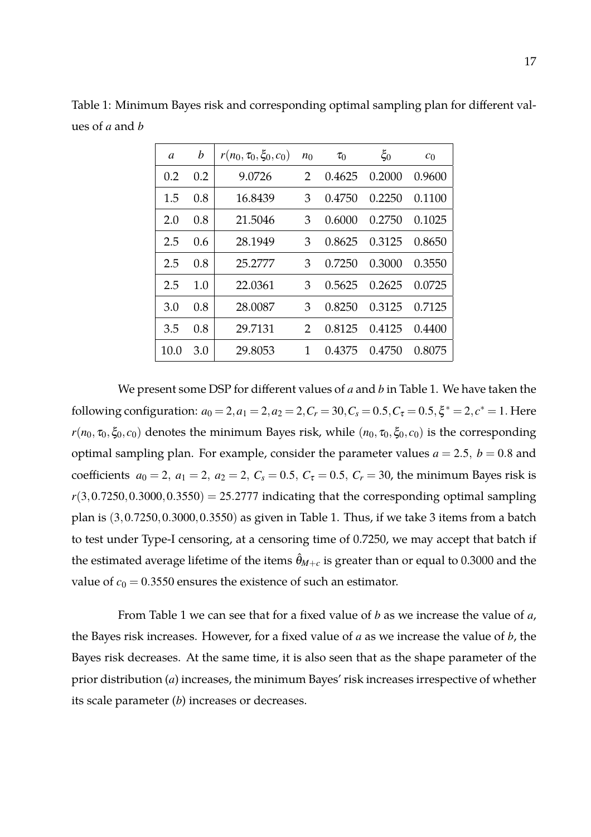| a    | b   | $r(n_0, \tau_0, \xi_0, c_0)$ | $n_0$         | $\tau_0$ | $\xi_0$ | c <sub>0</sub> |
|------|-----|------------------------------|---------------|----------|---------|----------------|
| 0.2  | 0.2 | 9.0726                       | $\mathcal{P}$ | 0.4625   | 0.2000  | 0.9600         |
| 1.5  | 0.8 | 16.8439                      | 3             | 0.4750   | 0.2250  | 0.1100         |
| 2.0  | 0.8 | 21.5046                      | 3             | 0.6000   | 0.2750  | 0.1025         |
| 2.5  | 0.6 | 28.1949                      | 3             | 0.8625   | 0.3125  | 0.8650         |
| 2.5  | 0.8 | 25.2777                      | 3             | 0.7250   | 0.3000  | 0.3550         |
| 2.5  | 1.0 | 22.0361                      | 3             | 0.5625   | 0.2625  | 0.0725         |
| 3.0  | 0.8 | 28.0087                      | 3             | 0.8250   | 0.3125  | 0.7125         |
| 3.5  | 0.8 | 29.7131                      | 2             | 0.8125   | 0.4125  | 0.4400         |
| 10.0 | 3.0 | 29.8053                      | 1             | 0.4375   | 0.4750  | 0.8075         |

Table 1: Minimum Bayes risk and corresponding optimal sampling plan for different values of *a* and *b*

We present some DSP for different values of *a* and *b* in Table 1. We have taken the following configuration:  $a_0 = 2, a_1 = 2, a_2 = 2, C_r = 30, C_s = 0.5, C_\tau = 0.5, \xi^* = 2, c^* = 1$ . Here *r*( $n_0$ ,  $\zeta_0$ ,  $\zeta_0$ ,  $c_0$ ) denotes the minimum Bayes risk, while ( $n_0$ ,  $\zeta_0$ ,  $\zeta_0$ ,  $c_0$ ) is the corresponding optimal sampling plan. For example, consider the parameter values  $a = 2.5$ ,  $b = 0.8$  and coefficients  $a_0 = 2$ ,  $a_1 = 2$ ,  $a_2 = 2$ ,  $C_s = 0.5$ ,  $C_\tau = 0.5$ ,  $C_r = 30$ , the minimum Bayes risk is  $r(3,0.7250,0.3000,0.3550) = 25.2777$  indicating that the corresponding optimal sampling plan is  $(3, 0.7250, 0.3000, 0.3550)$  as given in Table 1. Thus, if we take 3 items from a batch to test under Type-I censoring, at a censoring time of 0.7250, we may accept that batch if the estimated average lifetime of the items  $\hat{\theta}_{M+c}$  is greater than or equal to 0.3000 and the value of  $c_0 = 0.3550$  ensures the existence of such an estimator.

From Table 1 we can see that for a fixed value of *b* as we increase the value of *a*, the Bayes risk increases. However, for a fixed value of *a* as we increase the value of *b*, the Bayes risk decreases. At the same time, it is also seen that as the shape parameter of the prior distribution (*a*) increases, the minimum Bayes' risk increases irrespective of whether its scale parameter (*b*) increases or decreases.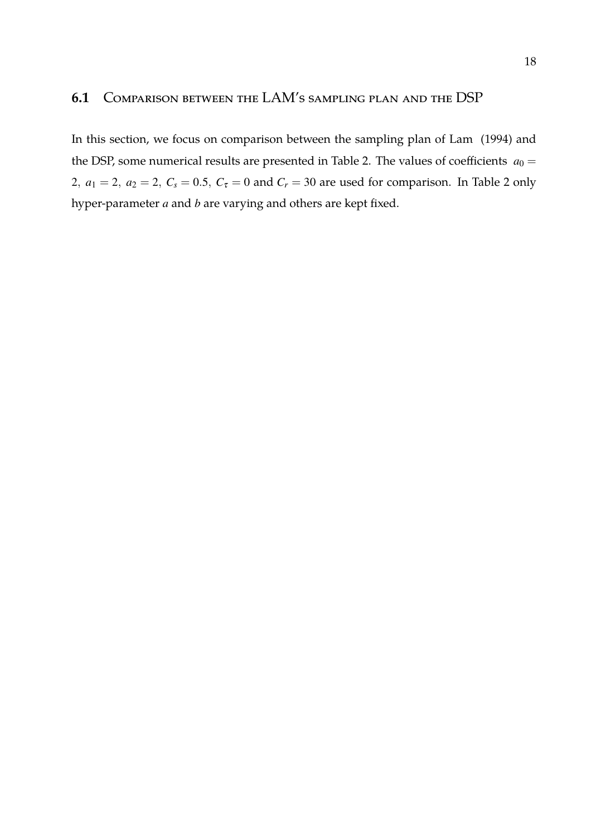#### **6.1** Comparison between the LAM's sampling plan and the DSP

In this section, we focus on comparison between the sampling plan of Lam (1994) and the DSP, some numerical results are presented in Table 2. The values of coefficients  $a_0 =$ 2,  $a_1 = 2$ ,  $a_2 = 2$ ,  $C_s = 0.5$ ,  $C_{\tau} = 0$  and  $C_r = 30$  are used for comparison. In Table 2 only hyper-parameter *a* and *b* are varying and others are kept fixed.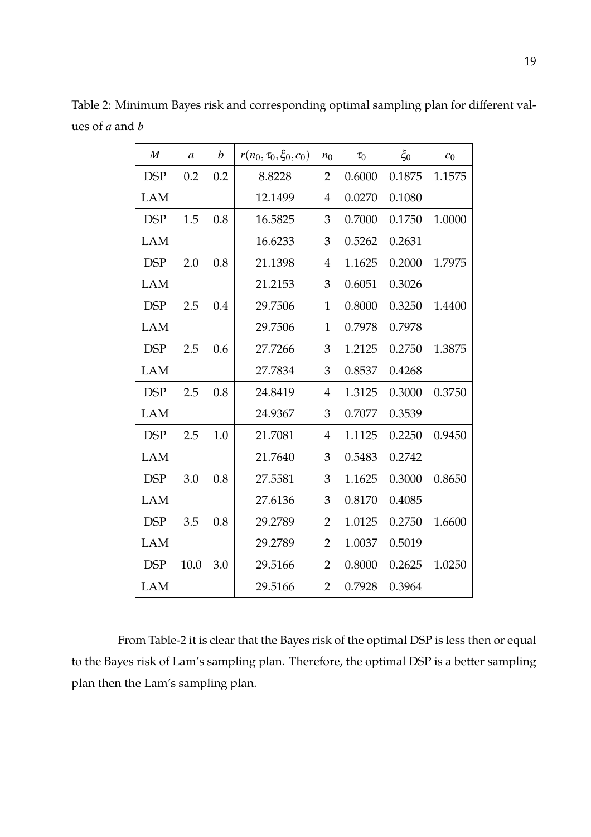| $\boldsymbol{M}$ | a    | b   | $r(n_0, \tau_0, \xi_0, c_0)$ | $n_0$          | $\tau_0$ | $\xi_0$ | c <sub>0</sub> |
|------------------|------|-----|------------------------------|----------------|----------|---------|----------------|
| <b>DSP</b>       | 0.2  | 0.2 | 8.8228                       | 2              | 0.6000   | 0.1875  | 1.1575         |
| LAM              |      |     | 12.1499                      | $\overline{4}$ | 0.0270   | 0.1080  |                |
| <b>DSP</b>       | 1.5  | 0.8 | 16.5825                      | 3              | 0.7000   | 0.1750  | 1.0000         |
| <b>LAM</b>       |      |     | 16.6233                      | 3              | 0.5262   | 0.2631  |                |
| <b>DSP</b>       | 2.0  | 0.8 | 21.1398                      | $\overline{4}$ | 1.1625   | 0.2000  | 1.7975         |
| LAM              |      |     | 21.2153                      | 3              | 0.6051   | 0.3026  |                |
| <b>DSP</b>       | 2.5  | 0.4 | 29.7506                      | $\mathbf{1}$   | 0.8000   | 0.3250  | 1.4400         |
| <b>LAM</b>       |      |     | 29.7506                      | $\mathbf{1}$   | 0.7978   | 0.7978  |                |
| <b>DSP</b>       | 2.5  | 0.6 | 27.7266                      | 3              | 1.2125   | 0.2750  | 1.3875         |
| <b>LAM</b>       |      |     | 27.7834                      | 3              | 0.8537   | 0.4268  |                |
| <b>DSP</b>       | 2.5  | 0.8 | 24.8419                      | $\overline{4}$ | 1.3125   | 0.3000  | 0.3750         |
| LAM              |      |     | 24.9367                      | 3              | 0.7077   | 0.3539  |                |
| <b>DSP</b>       | 2.5  | 1.0 | 21.7081                      | $\overline{4}$ | 1.1125   | 0.2250  | 0.9450         |
| LAM              |      |     | 21.7640                      | 3              | 0.5483   | 0.2742  |                |
| <b>DSP</b>       | 3.0  | 0.8 | 27.5581                      | 3              | 1.1625   | 0.3000  | 0.8650         |
| LAM              |      |     | 27.6136                      | 3              | 0.8170   | 0.4085  |                |
| <b>DSP</b>       | 3.5  | 0.8 | 29.2789                      | $\overline{2}$ | 1.0125   | 0.2750  | 1.6600         |
| <b>LAM</b>       |      |     | 29.2789                      | $\overline{2}$ | 1.0037   | 0.5019  |                |
| <b>DSP</b>       | 10.0 | 3.0 | 29.5166                      | $\overline{2}$ | 0.8000   | 0.2625  | 1.0250         |
| <b>LAM</b>       |      |     | 29.5166                      | $\overline{2}$ | 0.7928   | 0.3964  |                |

Table 2: Minimum Bayes risk and corresponding optimal sampling plan for different values of *a* and *b*

From Table-2 it is clear that the Bayes risk of the optimal DSP is less then or equal to the Bayes risk of Lam's sampling plan. Therefore, the optimal DSP is a better sampling plan then the Lam's sampling plan.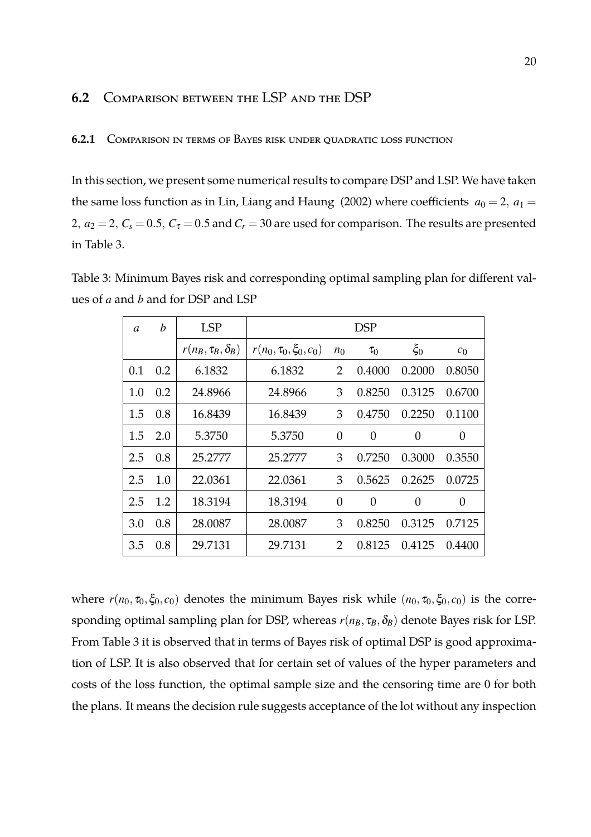#### **6.2** Comparison between the LSP and the DSP

#### **6.2.1** Comparison in terms of Bayes risk under quadratic loss function

In this section, we present some numerical results to compare DSP and LSP. We have taken the same loss function as in Lin, Liang and Haung (2002) where coefficients  $a_0 = 2$ ,  $a_1 =$ 2,  $a_2 = 2$ ,  $C_s = 0.5$ ,  $C_{\tau} = 0.5$  and  $C_r = 30$  are used for comparison. The results are presented in Table 3.

Table 3: Minimum Bayes risk and corresponding optimal sampling plan for different values of *a* and *b* and for DSP and LSP

| a   | b   | <b>LSP</b>                 | <b>DSP</b>                   |               |                |          |                |  |  |
|-----|-----|----------------------------|------------------------------|---------------|----------------|----------|----------------|--|--|
|     |     | $r(n_B, \tau_B, \delta_B)$ | $r(n_0, \tau_0, \xi_0, c_0)$ | $n_0$         | $\tau_0$       | $\xi_0$  | c <sub>0</sub> |  |  |
| 0.1 | 0.2 | 6.1832                     | 6.1832                       | 2             | 0.4000         | 0.2000   | 0.8050         |  |  |
| 1.0 | 0.2 | 24.8966                    | 24.8966                      | 3             | 0.8250         | 0.3125   | 0.6700         |  |  |
| 1.5 | 0.8 | 16.8439                    | 16.8439                      | 3             | 0.4750         | 0.2250   | 0.1100         |  |  |
| 1.5 | 2.0 | 5.3750                     | 5.3750                       | 0             | $\theta$       | $\Omega$ | $\overline{0}$ |  |  |
| 2.5 | 0.8 | 25.2777                    | 25.2777                      | 3             | 0.7250         | 0.3000   | 0.3550         |  |  |
| 2.5 | 1.0 | 22.0361                    | 22.0361                      | 3             | 0.5625         | 0.2625   | 0.0725         |  |  |
| 2.5 | 1.2 | 18.3194                    | 18.3194                      | 0             | $\overline{0}$ | 0        | $\overline{0}$ |  |  |
| 3.0 | 0.8 | 28.0087                    | 28.0087                      | 3             | 0.8250         | 0.3125   | 0.7125         |  |  |
| 3.5 | 0.8 | 29.7131                    | 29.7131                      | $\mathcal{P}$ | 0.8125         | 0.4125   | 0.4400         |  |  |

where  $r(n_0, \tau_0, \xi_0, c_0)$  denotes the minimum Bayes risk while  $(n_0, \tau_0, \xi_0, c_0)$  is the corresponding optimal sampling plan for DSP, whereas  $r(n_B, \tau_B, \delta_B)$  denote Bayes risk for LSP. From Table 3 it is observed that in terms of Bayes risk of optimal DSP is good approximation of LSP. It is also observed that for certain set of values of the hyper parameters and costs of the loss function, the optimal sample size and the censoring time are 0 for both the plans. It means the decision rule suggests acceptance of the lot without any inspection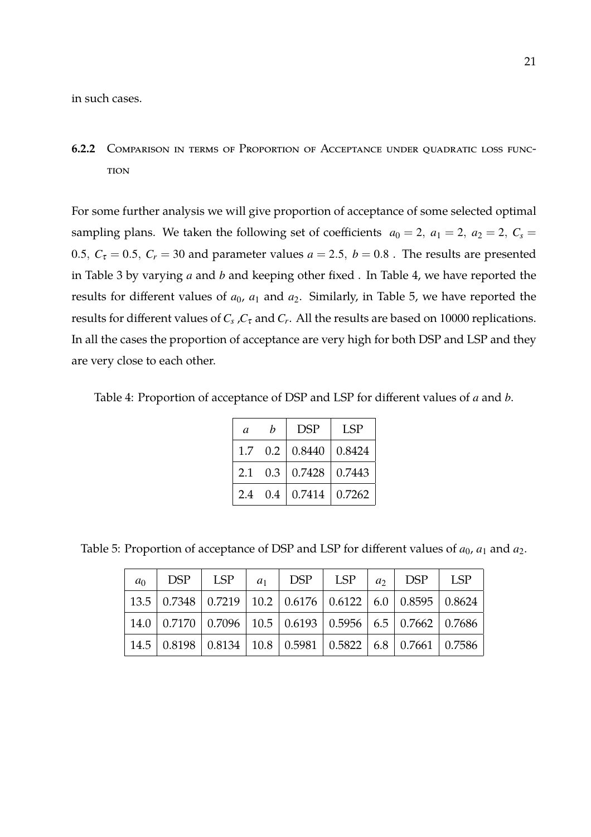in such cases.

**6.2.2** Comparison in terms of Proportion of Acceptance under quadratic loss func-**TION** 

For some further analysis we will give proportion of acceptance of some selected optimal sampling plans. We taken the following set of coefficients  $a_0 = 2$ ,  $a_1 = 2$ ,  $a_2 = 2$ ,  $C_s =$ 0.5,  $C_{\tau} = 0.5$ ,  $C_{r} = 30$  and parameter values  $a = 2.5$ ,  $b = 0.8$ . The results are presented in Table 3 by varying *a* and *b* and keeping other fixed . In Table 4, we have reported the results for different values of  $a_0$ ,  $a_1$  and  $a_2$ . Similarly, in Table 5, we have reported the results for different values of *C<sup>s</sup>* ,*C*<sup>τ</sup> and *C<sup>r</sup>* . All the results are based on 10000 replications. In all the cases the proportion of acceptance are very high for both DSP and LSP and they are very close to each other.

Table 4: Proportion of acceptance of DSP and LSP for different values of *a* and *b*.

| a   | h | <b>DSP</b>                  | <b>LSP</b>           |
|-----|---|-----------------------------|----------------------|
|     |   | $1.7 \quad 0.2 \mid 0.8440$ | 0.8424               |
| 2.1 |   | $0.3 \mid 0.7428$           | $\vert 0.7443 \vert$ |
|     |   | $2.4 \quad 0.4 \mid 0.7414$ | 0.7262               |

Table 5: Proportion of acceptance of DSP and LSP for different values of  $a_0$ ,  $a_1$  and  $a_2$ .

| $a_0$ | $\vert$ DSP $\vert$ LSP $\vert$ $a_1$ $\vert$ DSP $\vert$ LSP $\vert$ $a_2$ $\vert$ DSP $\vert$ LSP |  |  |                                                                                                                               |
|-------|-----------------------------------------------------------------------------------------------------|--|--|-------------------------------------------------------------------------------------------------------------------------------|
|       | 13.5   0.7348   0.7219   10.2   0.6176   0.6122   6.0   0.8595   0.8624                             |  |  |                                                                                                                               |
|       |                                                                                                     |  |  | 14.0   0.7170   0.7096   10.5   0.6193   0.5956   6.5   0.7662   0.7686                                                       |
|       |                                                                                                     |  |  | $\mid$ 14.5 $\mid$ 0.8198 $\mid$ 0.8134 $\mid$ 10.8 $\mid$ 0.5981 $\mid$ 0.5822 $\mid$ 6.8 $\mid$ 0.7661 $\mid$ 0.7586 $\mid$ |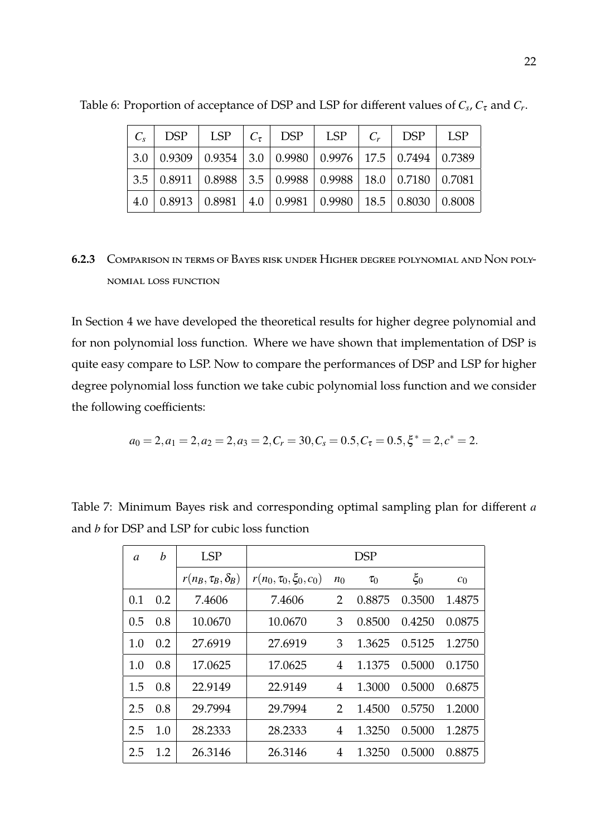|                                                                            |  | $C_s$ DSP   LSP   $C_{\tau}$   DSP   LSP   $C_r$   DSP |  | LSP <sup>1</sup> |
|----------------------------------------------------------------------------|--|--------------------------------------------------------|--|------------------|
| 3.0   0.9309   0.9354   3.0   0.9980   0.9976   17.5   0.7494   0.7389     |  |                                                        |  |                  |
| 3.5   0.8911   0.8988   3.5   0.9988   0.9988   18.0   0.7180   0.7081     |  |                                                        |  |                  |
| $4.0$   0.8913   0.8981   $4.0$   0.9981   0.9980   18.5   0.8030   0.8008 |  |                                                        |  |                  |

Table 6: Proportion of acceptance of DSP and LSP for different values of  $C_s$ ,  $C_{\tau}$  and  $C_r$ .

**6.2.3** Comparison in terms of Bayes risk under Higher degree polynomial and Non polynomial loss function

In Section 4 we have developed the theoretical results for higher degree polynomial and for non polynomial loss function. Where we have shown that implementation of DSP is quite easy compare to LSP. Now to compare the performances of DSP and LSP for higher degree polynomial loss function we take cubic polynomial loss function and we consider the following coefficients:

$$
a_0 = 2, a_1 = 2, a_2 = 2, a_3 = 2, C_r = 30, C_s = 0.5, C_\tau = 0.5, \xi^* = 2, c^* = 2.
$$

| $\mathfrak a$ | b   | <b>LSP</b>                 | <b>DSP</b>                   |                |          |         |                |  |
|---------------|-----|----------------------------|------------------------------|----------------|----------|---------|----------------|--|
|               |     | $r(n_B, \tau_B, \delta_B)$ | $r(n_0, \tau_0, \xi_0, c_0)$ | $n_0$          | $\tau_0$ | $\xi_0$ | c <sub>0</sub> |  |
| 0.1           | 0.2 | 7.4606                     | 7.4606                       | 2              | 0.8875   | 0.3500  | 1.4875         |  |
| 0.5           | 0.8 | 10.0670                    | 10.0670                      | 3              | 0.8500   | 0.4250  | 0.0875         |  |
| 1.0           | 0.2 | 27.6919                    | 27.6919                      | 3              | 1.3625   | 0.5125  | 1.2750         |  |
| 1.0           | 0.8 | 17.0625                    | 17.0625                      | 4              | 1.1375   | 0.5000  | 0.1750         |  |
| 1.5           | 0.8 | 22.9149                    | 22.9149                      | 4              | 1.3000   | 0.5000  | 0.6875         |  |
| 2.5           | 0.8 | 29.7994                    | 29.7994                      | $\overline{2}$ | 1.4500   | 0.5750  | 1.2000         |  |
| 2.5           | 1.0 | 28.2333                    | 28.2333                      | 4              | 1.3250   | 0.5000  | 1.2875         |  |
| 2.5           | 1.2 | 26.3146                    | 26.3146                      | 4              | 1.3250   | 0.5000  | 0.8875         |  |

Table 7: Minimum Bayes risk and corresponding optimal sampling plan for different *a* and *b* for DSP and LSP for cubic loss function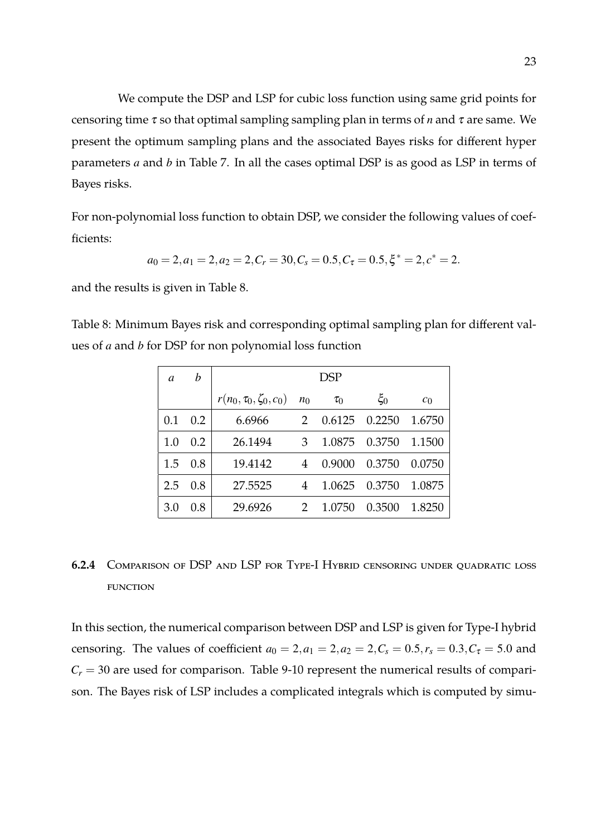We compute the DSP and LSP for cubic loss function using same grid points for censoring time <sup>τ</sup> so that optimal sampling sampling plan in terms of *n* and <sup>τ</sup> are same. We present the optimum sampling plans and the associated Bayes risks for different hyper parameters *a* and *b* in Table 7. In all the cases optimal DSP is as good as LSP in terms of Bayes risks.

For non-polynomial loss function to obtain DSP, we consider the following values of coefficients:

$$
a_0 = 2, a_1 = 2, a_2 = 2, C_r = 30, C_s = 0.5, C_\tau = 0.5, \xi^* = 2, c^* = 2.
$$

and the results is given in Table 8.

Table 8: Minimum Bayes risk and corresponding optimal sampling plan for different values of *a* and *b* for DSP for non polynomial loss function

| a   | b   | <b>DSP</b>                           |               |          |         |                |  |  |  |  |  |
|-----|-----|--------------------------------------|---------------|----------|---------|----------------|--|--|--|--|--|
|     |     | $r(n_0, \tau_0, \zeta_0, c_0)$ $n_0$ |               | $\tau_0$ | $\xi_0$ | c <sub>0</sub> |  |  |  |  |  |
| 0.1 | 0.2 | 6.6966                               | $\mathcal{P}$ | 0.6125   | 0.2250  | 1.6750         |  |  |  |  |  |
| 1.0 | 0.2 | 26.1494                              | 3             | 1.0875   | 0.3750  | 1.1500         |  |  |  |  |  |
| 1.5 | 0.8 | 19.4142                              | 4             | 0.9000   | 0.3750  | 0.0750         |  |  |  |  |  |
| 2.5 | 0.8 | 27.5525                              | 4             | 1.0625   | 0.3750  | 1.0875         |  |  |  |  |  |
| 3.0 | 0.8 | 29.6926                              | 2             | 1.0750   | 0.3500  | 1.8250         |  |  |  |  |  |

## **6.2.4** Comparison of DSP and LSP for Type-I Hybrid censoring under quadratic loss **FUNCTION**

In this section, the numerical comparison between DSP and LSP is given for Type-I hybrid censoring. The values of coefficient  $a_0 = 2, a_1 = 2, a_2 = 2, C_s = 0.5, r_s = 0.3, C_\tau = 5.0$  and  $C_r = 30$  are used for comparison. Table 9-10 represent the numerical results of comparison. The Bayes risk of LSP includes a complicated integrals which is computed by simu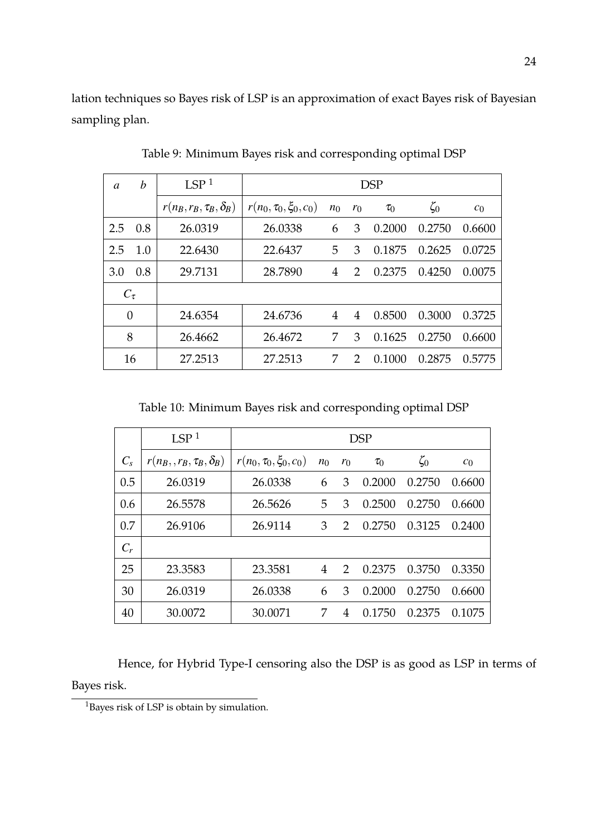lation techniques so Bayes risk of LSP is an approximation of exact Bayes risk of Bayesian sampling plan.

| a          | b   | LSP <sup>1</sup>                | <b>DSP</b>                   |                |               |          |           |                |  |
|------------|-----|---------------------------------|------------------------------|----------------|---------------|----------|-----------|----------------|--|
|            |     | $r(n_B, r_B, \tau_B, \delta_B)$ | $r(n_0, \tau_0, \xi_0, c_0)$ | $n_0$          | $r_0$         | $\tau_0$ | $\zeta_0$ | c <sub>0</sub> |  |
| 2.5        | 0.8 | 26.0319                         | 26.0338                      | 6              | 3             | 0.2000   | 0.2750    | 0.6600         |  |
| 2.5        | 1.0 | 22.6430                         | 22.6437                      | 5              | 3             | 0.1875   | 0.2625    | 0.0725         |  |
| 3.0        | 0.8 | 29.7131                         | 28.7890                      | $\overline{4}$ | 2             | 0.2375   | 0.4250    | 0.0075         |  |
| $C_{\tau}$ |     |                                 |                              |                |               |          |           |                |  |
| $\theta$   |     | 24.6354                         | 24.6736                      | $\overline{4}$ | 4             | 0.8500   | 0.3000    | 0.3725         |  |
| 8          |     | 26.4662                         | 26.4672                      | 7              | 3             | 0.1625   | 0.2750    | 0.6600         |  |
|            | 16  | 27.2513                         | 27.2513                      | 7              | $\mathcal{D}$ | 0.1000   | 0.2875    | 0.5775         |  |

Table 9: Minimum Bayes risk and corresponding optimal DSP

Table 10: Minimum Bayes risk and corresponding optimal DSP

|         | LSP <sup>1</sup>                | <b>DSP</b>                   |       |                |          |           |                |  |
|---------|---------------------------------|------------------------------|-------|----------------|----------|-----------|----------------|--|
| $C_{s}$ | $r(n_B, r_B, \tau_B, \delta_B)$ | $r(n_0, \tau_0, \xi_0, c_0)$ | $n_0$ | $r_0$          | $\tau_0$ | $\zeta_0$ | c <sub>0</sub> |  |
| 0.5     | 26.0319                         | 26.0338                      | 6     | 3              | 0.2000   | 0.2750    | 0.6600         |  |
| 0.6     | 26.5578                         | 26.5626                      | 5     | 3              | 0.2500   | 0.2750    | 0.6600         |  |
| 0.7     | 26.9106                         | 26.9114                      | 3     | $\overline{2}$ | 0.2750   | 0.3125    | 0.2400         |  |
| $C_r$   |                                 |                              |       |                |          |           |                |  |
| 25      | 23.3583                         | 23.3581                      | 4     | $\mathcal{P}$  | 0.2375   | 0.3750    | 0.3350         |  |
| 30      | 26.0319                         | 26.0338                      | 6     | 3              | 0.2000   | 0.2750    | 0.6600         |  |
| 40      | 30.0072                         | 30.0071                      | 7     | 4              | 0.1750   | 0.2375    | 0.1075         |  |

Hence, for Hybrid Type-I censoring also the DSP is as good as LSP in terms of Bayes risk.

<sup>&</sup>lt;sup>1</sup>Bayes risk of LSP is obtain by simulation.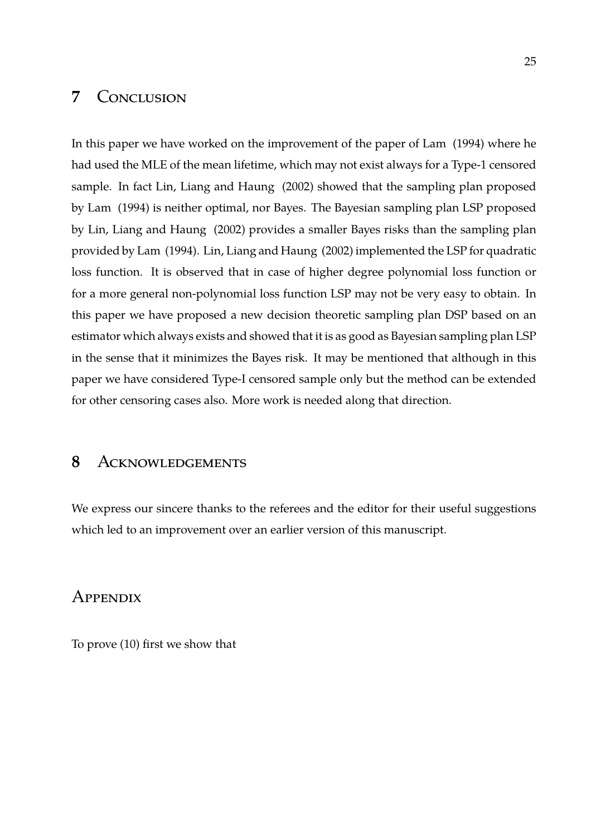#### **7** Conclusion

In this paper we have worked on the improvement of the paper of Lam (1994) where he had used the MLE of the mean lifetime, which may not exist always for a Type-1 censored sample. In fact Lin, Liang and Haung (2002) showed that the sampling plan proposed by Lam (1994) is neither optimal, nor Bayes. The Bayesian sampling plan LSP proposed by Lin, Liang and Haung (2002) provides a smaller Bayes risks than the sampling plan provided by Lam (1994). Lin, Liang and Haung (2002) implemented the LSP for quadratic loss function. It is observed that in case of higher degree polynomial loss function or for a more general non-polynomial loss function LSP may not be very easy to obtain. In this paper we have proposed a new decision theoretic sampling plan DSP based on an estimator which always exists and showed that it is as good as Bayesian sampling plan LSP in the sense that it minimizes the Bayes risk. It may be mentioned that although in this paper we have considered Type-I censored sample only but the method can be extended for other censoring cases also. More work is needed along that direction.

#### **8** Acknowledgements

We express our sincere thanks to the referees and the editor for their useful suggestions which led to an improvement over an earlier version of this manuscript.

#### **APPENDIX**

To prove (10) first we show that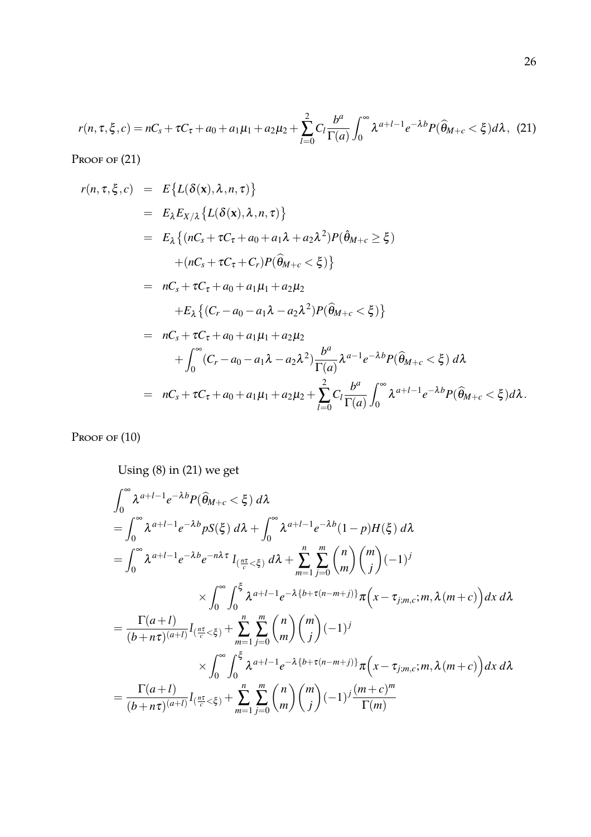$$
r(n, \tau, \xi, c) = nC_s + \tau C_{\tau} + a_0 + a_1\mu_1 + a_2\mu_2 + \sum_{l=0}^{2} C_l \frac{b^a}{\Gamma(a)} \int_0^{\infty} \lambda^{a+l-1} e^{-\lambda b} P(\widehat{\theta}_{M+c} < \xi) d\lambda, \tag{21}
$$

Proof of  $(21)$ 

$$
r(n, \tau, \xi, c) = E\{L(\delta(\mathbf{x}), \lambda, n, \tau)\}
$$
  
\n
$$
= E_{\lambda}E_{X/\lambda}\{L(\delta(\mathbf{x}), \lambda, n, \tau)\}
$$
  
\n
$$
= E_{\lambda}\{(nC_s + \tau C_{\tau} + a_0 + a_1\lambda + a_2\lambda^2)P(\hat{\theta}_{M+c} \ge \xi) + (nC_s + \tau C_{\tau} + C_r)P(\hat{\theta}_{M+c} < \xi)\}
$$
  
\n
$$
= nC_s + \tau C_{\tau} + a_0 + a_1\mu_1 + a_2\mu_2 + E_{\lambda}\{(C_r - a_0 - a_1\lambda - a_2\lambda^2)P(\hat{\theta}_{M+c} < \xi)\}
$$
  
\n
$$
= nC_s + \tau C_{\tau} + a_0 + a_1\mu_1 + a_2\mu_2 + \int_{0}^{\infty} (C_r - a_0 - a_1\lambda - a_2\lambda^2) \frac{b^a}{\Gamma(a)} \lambda^{a-1} e^{-\lambda b} P(\hat{\theta}_{M+c} < \xi) d\lambda
$$
  
\n
$$
= nC_s + \tau C_{\tau} + a_0 + a_1\mu_1 + a_2\mu_2 + \sum_{l=0}^{2} C_l \frac{b^a}{\Gamma(a)} \int_{0}^{\infty} \lambda^{a+l-1} e^{-\lambda b} P(\hat{\theta}_{M+c} < \xi) d\lambda.
$$

Proof of  $(10)$ 

Using (8) in (21) we get

$$
\int_{0}^{\infty} \lambda^{a+l-1} e^{-\lambda b} P(\widehat{\theta}_{M+c} < \xi) d\lambda
$$
\n
$$
= \int_{0}^{\infty} \lambda^{a+l-1} e^{-\lambda b} pS(\xi) d\lambda + \int_{0}^{\infty} \lambda^{a+l-1} e^{-\lambda b} (1-p) H(\xi) d\lambda
$$
\n
$$
= \int_{0}^{\infty} \lambda^{a+l-1} e^{-\lambda b} e^{-n\lambda \tau} I_{\left(\frac{n\tau}{c} < \xi\right)} d\lambda + \sum_{m=1}^{n} \sum_{j=0}^{m} {n \choose m} {m \choose j} (-1)^j
$$
\n
$$
\times \int_{0}^{\infty} \int_{0}^{\xi} \lambda^{a+l-1} e^{-\lambda \{b+\tau(n-m+j)\}} \pi\left(x - \tau_{j,m,c}; m, \lambda(m+c)\right) dx d\lambda
$$
\n
$$
= \frac{\Gamma(a+l)}{(b+n\tau)^{(a+l)}} I_{\left(\frac{n\tau}{c} < \xi\right)} + \sum_{m=1}^{n} \sum_{j=0}^{m} {n \choose m} {m \choose j} (-1)^j
$$
\n
$$
\times \int_{0}^{\infty} \int_{0}^{\xi} \lambda^{a+l-1} e^{-\lambda \{b+\tau(n-m+j)\}} \pi\left(x - \tau_{j,m,c}; m, \lambda(m+c)\right) dx d\lambda
$$
\n
$$
= \frac{\Gamma(a+l)}{(b+n\tau)^{(a+l)}} I_{\left(\frac{n\tau}{c} < \xi\right)} + \sum_{m=1}^{n} \sum_{j=0}^{m} {n \choose m} {m \choose j} (-1)^j \frac{(m+c)^m}{\Gamma(m)}
$$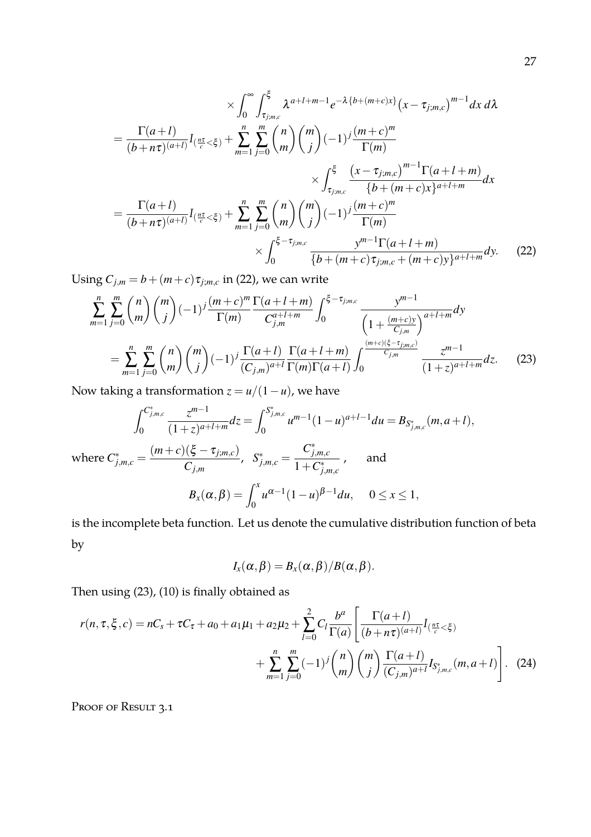$$
\times \int_{0}^{\infty} \int_{\tau_{j,m,c}}^{\xi} \lambda^{a+l+m-1} e^{-\lambda \{b+(m+c)x\}} (x - \tau_{j,m,c})^{m-1} dx d\lambda
$$
  
\n
$$
= \frac{\Gamma(a+l)}{(b+n\tau)^{(a+l)}} I_{(\frac{n\tau}{c} < \xi)} + \sum_{m=1}^{n} \sum_{j=0}^{m} {n \choose m} {m \choose j} (-1)^{j} \frac{(m+c)^{m}}{\Gamma(m)} \times \int_{\tau_{j,m,c}}^{\xi} \frac{(x - \tau_{j,m,c})^{m-1} \Gamma(a+l+m)}{\{b+(m+c)x\}^{a+l+m}} dx
$$
  
\n
$$
= \frac{\Gamma(a+l)}{(b+n\tau)^{(a+l)}} I_{(\frac{n\tau}{c} < \xi)} + \sum_{m=1}^{n} \sum_{j=0}^{m} {n \choose m} {m \choose j} (-1)^{j} \frac{(m+c)^{m}}{\Gamma(m)} \times \int_{0}^{\xi - \tau_{j,m,c}} \frac{y^{m-1} \Gamma(a+l+m)}{\{b+(m+c)\tau_{j,m,c} + (m+c)y\}^{a+l+m}} dy.
$$
 (22)

Using  $C_{j,m} = b + (m+c)\tau_{j,m,c}$  in (22), we can write

$$
\sum_{m=1}^{n} \sum_{j=0}^{m} {n \choose m} {m \choose j} (-1)^{j} \frac{(m+c)^{m}}{\Gamma(m)} \frac{\Gamma(a+l+m)}{C_{j,m}^{a+l+m}} \int_{0}^{\xi-\tau_{j,m,c}} \frac{y^{m-1}}{\left(1+\frac{(m+c)y}{C_{j,m}}\right)^{a+l+m}} dy
$$
\n
$$
= \sum_{m=1}^{n} \sum_{j=0}^{m} {n \choose m} {m \choose j} (-1)^{j} \frac{\Gamma(a+l)}{(C_{j,m})^{a+l}} \frac{\Gamma(a+l+m)}{\Gamma(m)\Gamma(a+l)} \int_{0}^{\frac{(m+c)(\xi-\tau_{j,m,c})}{C_{j,m}}} \frac{z^{m-1}}{(1+z)^{a+l+m}} dz.
$$
 (23)

Now taking a transformation  $z = u/(1 - u)$ , we have

$$
\int_0^{C_{j,m,c}^*} \frac{z^{m-1}}{(1+z)^{a+l+m}} dz = \int_0^{S_{j,m,c}^*} u^{m-1} (1-u)^{a+l-1} du = B_{S_{j,m,c}^*}(m, a+l),
$$
  
where  $C_{j,m,c}^* = \frac{(m+c)(\xi - \tau_{j,m,c})}{C_{j,m}}, \quad S_{j,m,c}^* = \frac{C_{j,m,c}^*}{1+C_{j,m,c}^*},$  and  

$$
B_x(\alpha, \beta) = \int_0^x u^{\alpha-1} (1-u)^{\beta-1} du, \quad 0 \le x \le 1,
$$

is the incomplete beta function. Let us denote the cumulative distribution function of beta by

$$
I_x(\alpha,\beta)=B_x(\alpha,\beta)/B(\alpha,\beta).
$$

Then using (23), (10) is finally obtained as

$$
r(n, \tau, \xi, c) = nC_s + \tau C_{\tau} + a_0 + a_1 \mu_1 + a_2 \mu_2 + \sum_{l=0}^{2} C_l \frac{b^a}{\Gamma(a)} \left[ \frac{\Gamma(a+l)}{(b+n\tau)^{(a+l)}} I_{(\frac{n\tau}{c} < \xi)} + \sum_{m=1}^{n} \sum_{j=0}^{m} (-1)^j {n \choose m} {m \choose j} \frac{\Gamma(a+l)}{(C_{j,m})^{a+l}} I_{S_{j,m,c}^*}(m, a+l) \right].
$$
 (24)

Proof of Result 3.1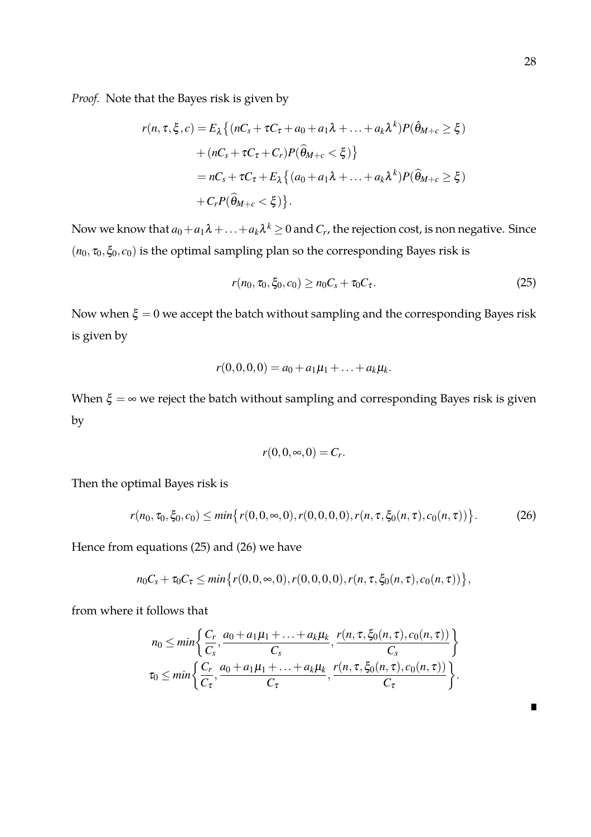*Proof.* Note that the Bayes risk is given by

$$
r(n, \tau, \xi, c) = E_{\lambda} \{ (nC_s + \tau C_{\tau} + a_0 + a_1 \lambda + \dots + a_k \lambda^k) P(\hat{\theta}_{M+c} \ge \xi) + (nC_s + \tau C_{\tau} + C_r) P(\hat{\theta}_{M+c} < \xi) \} = nC_s + \tau C_{\tau} + E_{\lambda} \{ (a_0 + a_1 \lambda + \dots + a_k \lambda^k) P(\hat{\theta}_{M+c} \ge \xi) + C_r P(\hat{\theta}_{M+c} < \xi) \}.
$$

Now we know that  $a_0+a_1\lambda+\ldots+a_k\lambda^k\geq 0$  and  $C_r$ , the rejection cost, is non negative. Since  $(n_0, \tau_0, \xi_0, c_0)$  is the optimal sampling plan so the corresponding Bayes risk is

$$
r(n_0, \tau_0, \xi_0, c_0) \ge n_0 C_s + \tau_0 C_\tau. \tag{25}
$$

Now when  $\xi = 0$  we accept the batch without sampling and the corresponding Bayes risk is given by

$$
r(0,0,0,0)=a_0+a_1\mu_1+\ldots+a_k\mu_k.
$$

When  $\xi = \infty$  we reject the batch without sampling and corresponding Bayes risk is given by

$$
r(0,0,\infty,0)=C_r.
$$

Then the optimal Bayes risk is

$$
r(n_0, \tau_0, \xi_0, c_0) \le \min\{r(0, 0, \infty, 0), r(0, 0, 0, 0), r(n, \tau, \xi_0(n, \tau), c_0(n, \tau))\}.
$$
 (26)

Hence from equations (25) and (26) we have

$$
n_0C_s+\tau_0C_\tau\leq min\big\{r(0,0,\infty,0),r(0,0,0,0),r(n,\tau,\xi_0(n,\tau),c_0(n,\tau))\big\},\,
$$

from where it follows that

$$
n_0 \leq \min\left\{\frac{C_r}{C_s}, \frac{a_0 + a_1\mu_1 + \ldots + a_k\mu_k}{C_s}, \frac{r(n, \tau, \xi_0(n, \tau), c_0(n, \tau))}{C_s}\right\}
$$
  

$$
\tau_0 \leq \min\left\{\frac{C_r}{C_\tau}, \frac{a_0 + a_1\mu_1 + \ldots + a_k\mu_k}{C_\tau}, \frac{r(n, \tau, \xi_0(n, \tau), c_0(n, \tau))}{C_\tau}\right\}.
$$

 $\blacksquare$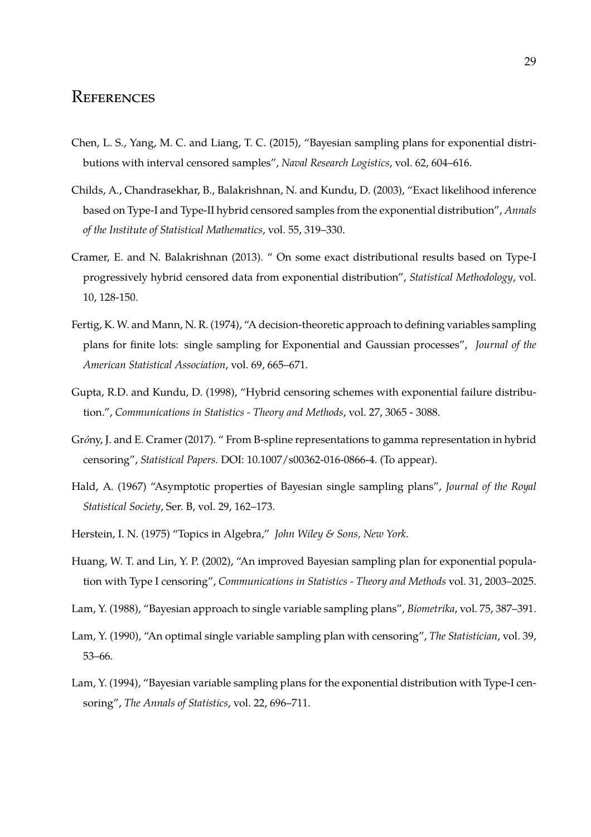#### **REFERENCES**

- Chen, L. S., Yang, M. C. and Liang, T. C. (2015), "Bayesian sampling plans for exponential distributions with interval censored samples", *Naval Research Logistics*, vol. 62, 604–616.
- Childs, A., Chandrasekhar, B., Balakrishnan, N. and Kundu, D. (2003), "Exact likelihood inference based on Type-I and Type-II hybrid censored samples from the exponential distribution", *Annals of the Institute of Statistical Mathematics*, vol. 55, 319–330.
- Cramer, E. and N. Balakrishnan (2013). " On some exact distributional results based on Type-I progressively hybrid censored data from exponential distribution", *Statistical Methodology*, vol. 10, 128-150.
- Fertig, K. W. and Mann, N. R. (1974), "A decision-theoretic approach to defining variables sampling plans for finite lots: single sampling for Exponential and Gaussian processes", *Journal of the American Statistical Association*, vol. 69, 665–671.
- Gupta, R.D. and Kundu, D. (1998), "Hybrid censoring schemes with exponential failure distribution.", *Communications in Statistics - Theory and Methods*, vol. 27, 3065 - 3088.
- Gróny, J. and E. Cramer (2017). " From B-spline representations to gamma representation in hybrid censoring", *Statistical Papers.* DOI: 10.1007/s00362-016-0866-4. (To appear).
- Hald, A. (1967) "Asymptotic properties of Bayesian single sampling plans", *Journal of the Royal Statistical Society*, Ser. B, vol. 29, 162–173.
- Herstein, I. N. (1975) "Topics in Algebra," *John Wiley & Sons, New York*.
- Huang, W. T. and Lin, Y. P. (2002), "An improved Bayesian sampling plan for exponential population with Type I censoring", *Communications in Statistics - Theory and Methods* vol. 31, 2003–2025.
- Lam, Y. (1988), "Bayesian approach to single variable sampling plans", *Biometrika*, vol. 75, 387–391.
- Lam, Y. (1990), "An optimal single variable sampling plan with censoring", *The Statistician*, vol. 39, 53–66.
- Lam, Y. (1994), "Bayesian variable sampling plans for the exponential distribution with Type-I censoring", *The Annals of Statistics*, vol. 22, 696–711.